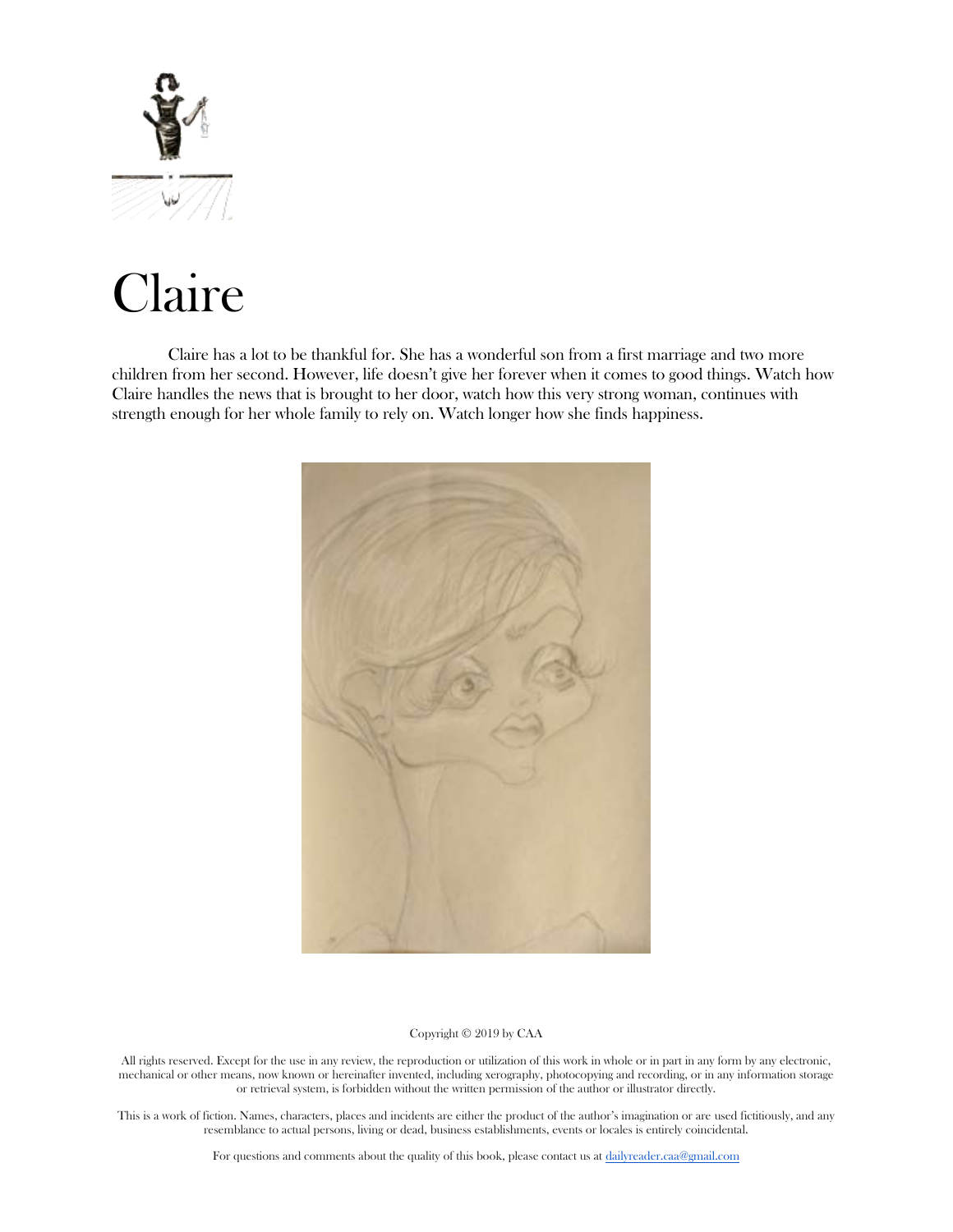

# Claire

Claire has a lot to be thankful for. She has a wonderful son from a first marriage and two more children from her second. However, life doesn't give her forever when it comes to good things. Watch how Claire handles the news that is brought to her door, watch how this very strong woman, continues with strength enough for her whole family to rely on. Watch longer how she finds happiness.



## Copyright © 2019 by CAA

All rights reserved. Except for the use in any review, the reproduction or utilization of this work in whole or in part in any form by any electronic, mechanical or other means, now known or hereinafter invented, including xerography, photocopying and recording, or in any information storage or retrieval system, is forbidden without the written permission of the author or illustrator directly.

This is a work of fiction. Names, characters, places and incidents are either the product of the author's imagination or are used fictitiously, and any resemblance to actual persons, living or dead, business establishments, events or locales is entirely coincidental.

For questions and comments about the quality of this book, please contact us at [dailyreader.caa@gmail.com](mailto:dailyreader.caa@gmail.com)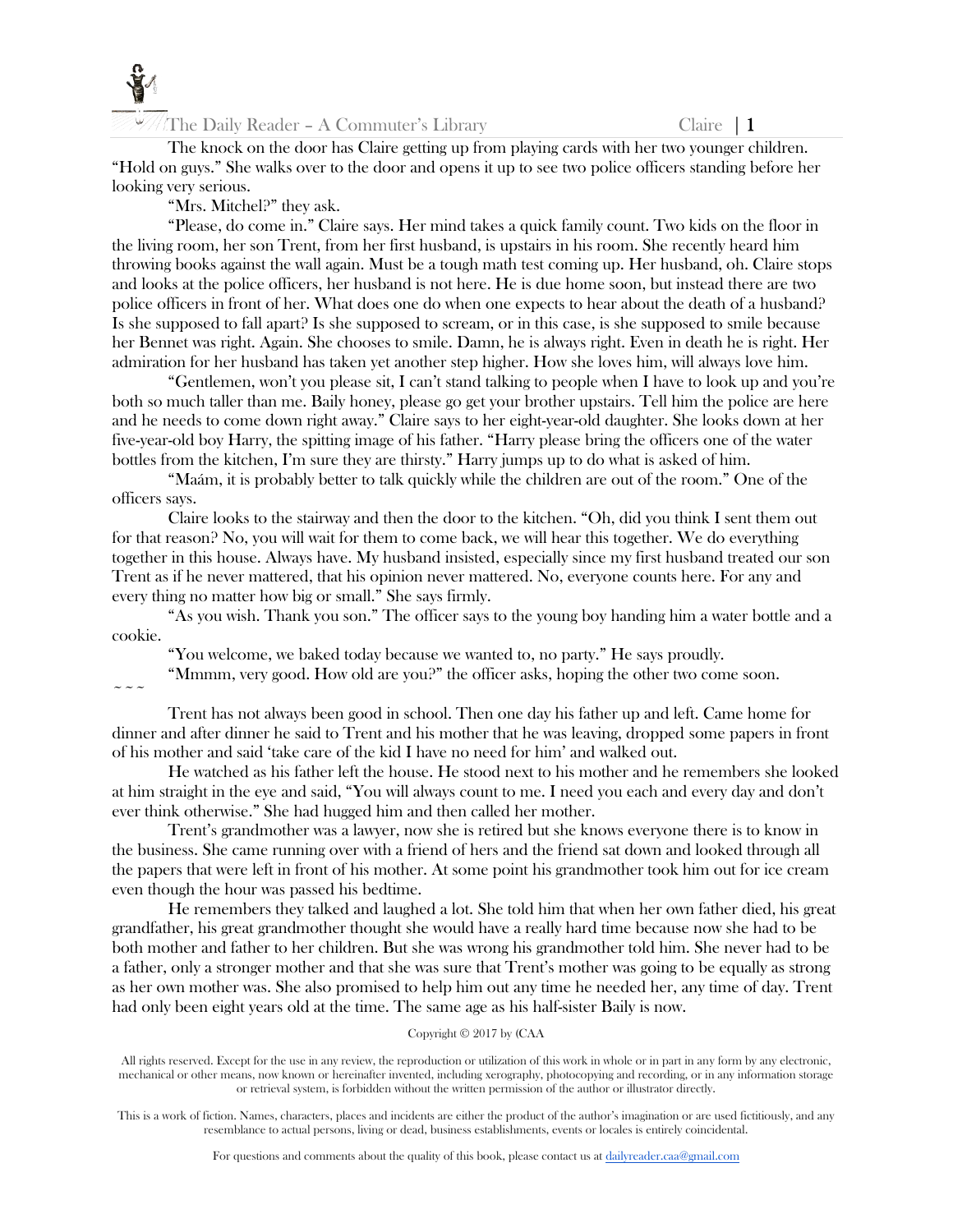

The knock on the door has Claire getting up from playing cards with her two younger children. "Hold on guys." She walks over to the door and opens it up to see two police officers standing before her looking very serious.

"Mrs. Mitchel?" they ask.

"Please, do come in." Claire says. Her mind takes a quick family count. Two kids on the floor in the living room, her son Trent, from her first husband, is upstairs in his room. She recently heard him throwing books against the wall again. Must be a tough math test coming up. Her husband, oh. Claire stops and looks at the police officers, her husband is not here. He is due home soon, but instead there are two police officers in front of her. What does one do when one expects to hear about the death of a husband? Is she supposed to fall apart? Is she supposed to scream, or in this case, is she supposed to smile because her Bennet was right. Again. She chooses to smile. Damn, he is always right. Even in death he is right. Her admiration for her husband has taken yet another step higher. How she loves him, will always love him.

"Gentlemen, won't you please sit, I can't stand talking to people when I have to look up and you're both so much taller than me. Baily honey, please go get your brother upstairs. Tell him the police are here and he needs to come down right away." Claire says to her eight-year-old daughter. She looks down at her five-year-old boy Harry, the spitting image of his father. "Harry please bring the officers one of the water bottles from the kitchen, I'm sure they are thirsty." Harry jumps up to do what is asked of him.

"Maám, it is probably better to talk quickly while the children are out of the room." One of the officers says.

Claire looks to the stairway and then the door to the kitchen. "Oh, did you think I sent them out for that reason? No, you will wait for them to come back, we will hear this together. We do everything together in this house. Always have. My husband insisted, especially since my first husband treated our son Trent as if he never mattered, that his opinion never mattered. No, everyone counts here. For any and every thing no matter how big or small." She says firmly.

"As you wish. Thank you son." The officer says to the young boy handing him a water bottle and a cookie.

"You welcome, we baked today because we wanted to, no party." He says proudly.

"Mmmm, very good. How old are you?" the officer asks, hoping the other two come soon.

 $\sim$   $\sim$   $\sim$ 

Trent has not always been good in school. Then one day his father up and left. Came home for dinner and after dinner he said to Trent and his mother that he was leaving, dropped some papers in front of his mother and said 'take care of the kid I have no need for him' and walked out.

He watched as his father left the house. He stood next to his mother and he remembers she looked at him straight in the eye and said, "You will always count to me. I need you each and every day and don't ever think otherwise." She had hugged him and then called her mother.

Trent's grandmother was a lawyer, now she is retired but she knows everyone there is to know in the business. She came running over with a friend of hers and the friend sat down and looked through all the papers that were left in front of his mother. At some point his grandmother took him out for ice cream even though the hour was passed his bedtime.

He remembers they talked and laughed a lot. She told him that when her own father died, his great grandfather, his great grandmother thought she would have a really hard time because now she had to be both mother and father to her children. But she was wrong his grandmother told him. She never had to be a father, only a stronger mother and that she was sure that Trent's mother was going to be equally as strong as her own mother was. She also promised to help him out any time he needed her, any time of day. Trent had only been eight years old at the time. The same age as his half-sister Baily is now.

# Copyright © 2017 by (CAA

All rights reserved. Except for the use in any review, the reproduction or utilization of this work in whole or in part in any form by any electronic, mechanical or other means, now known or hereinafter invented, including xerography, photocopying and recording, or in any information storage or retrieval system, is forbidden without the written permission of the author or illustrator directly.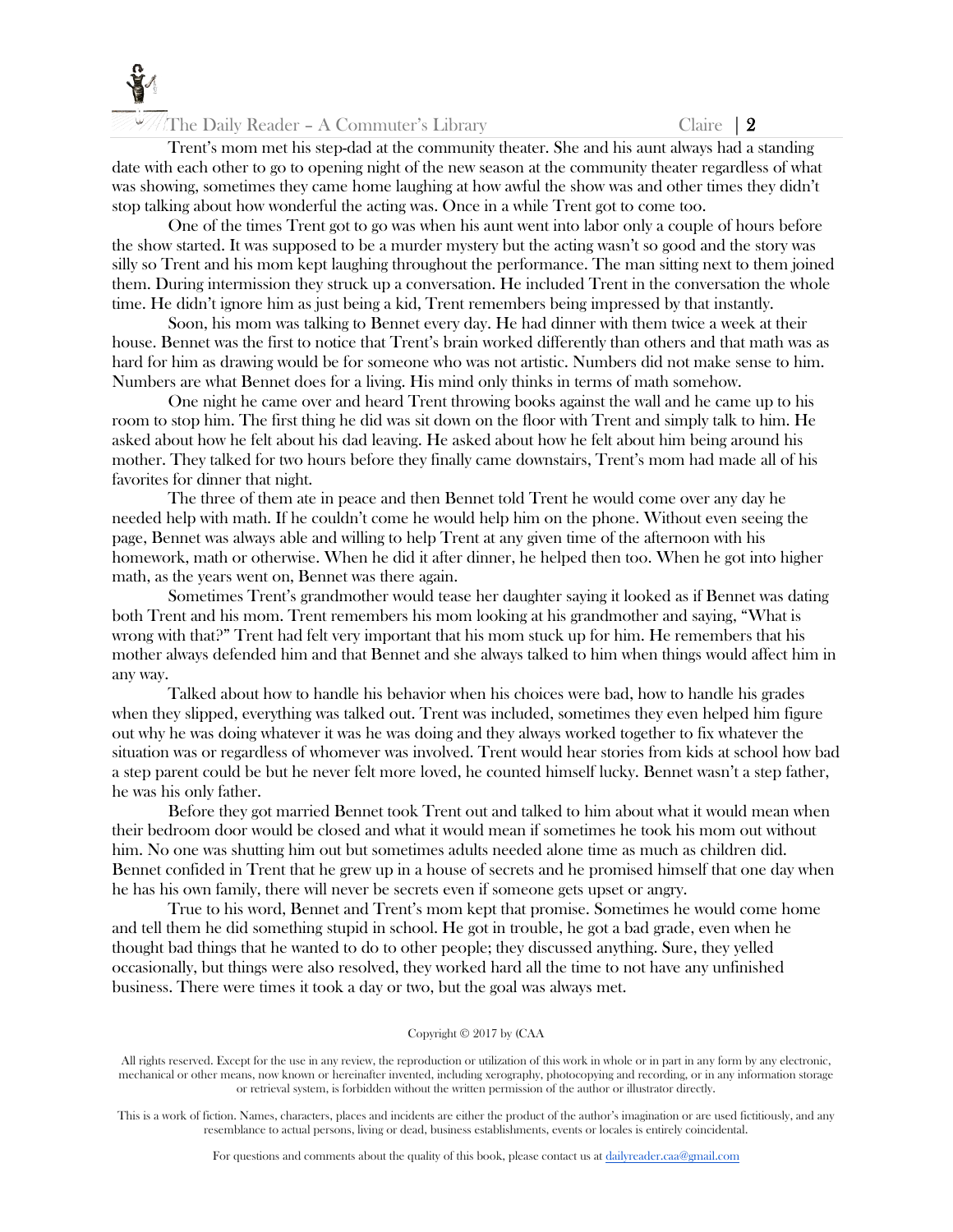

The Daily Reader – A Commuter's Library Claire  $|2 \rangle$ 

Trent's mom met his step-dad at the community theater. She and his aunt always had a standing date with each other to go to opening night of the new season at the community theater regardless of what was showing, sometimes they came home laughing at how awful the show was and other times they didn't stop talking about how wonderful the acting was. Once in a while Trent got to come too.

One of the times Trent got to go was when his aunt went into labor only a couple of hours before the show started. It was supposed to be a murder mystery but the acting wasn't so good and the story was silly so Trent and his mom kept laughing throughout the performance. The man sitting next to them joined them. During intermission they struck up a conversation. He included Trent in the conversation the whole time. He didn't ignore him as just being a kid, Trent remembers being impressed by that instantly.

Soon, his mom was talking to Bennet every day. He had dinner with them twice a week at their house. Bennet was the first to notice that Trent's brain worked differently than others and that math was as hard for him as drawing would be for someone who was not artistic. Numbers did not make sense to him. Numbers are what Bennet does for a living. His mind only thinks in terms of math somehow.

One night he came over and heard Trent throwing books against the wall and he came up to his room to stop him. The first thing he did was sit down on the floor with Trent and simply talk to him. He asked about how he felt about his dad leaving. He asked about how he felt about him being around his mother. They talked for two hours before they finally came downstairs, Trent's mom had made all of his favorites for dinner that night.

The three of them ate in peace and then Bennet told Trent he would come over any day he needed help with math. If he couldn't come he would help him on the phone. Without even seeing the page, Bennet was always able and willing to help Trent at any given time of the afternoon with his homework, math or otherwise. When he did it after dinner, he helped then too. When he got into higher math, as the years went on, Bennet was there again.

Sometimes Trent's grandmother would tease her daughter saying it looked as if Bennet was dating both Trent and his mom. Trent remembers his mom looking at his grandmother and saying, "What is wrong with that?" Trent had felt very important that his mom stuck up for him. He remembers that his mother always defended him and that Bennet and she always talked to him when things would affect him in any way.

Talked about how to handle his behavior when his choices were bad, how to handle his grades when they slipped, everything was talked out. Trent was included, sometimes they even helped him figure out why he was doing whatever it was he was doing and they always worked together to fix whatever the situation was or regardless of whomever was involved. Trent would hear stories from kids at school how bad a step parent could be but he never felt more loved, he counted himself lucky. Bennet wasn't a step father, he was his only father.

Before they got married Bennet took Trent out and talked to him about what it would mean when their bedroom door would be closed and what it would mean if sometimes he took his mom out without him. No one was shutting him out but sometimes adults needed alone time as much as children did. Bennet confided in Trent that he grew up in a house of secrets and he promised himself that one day when he has his own family, there will never be secrets even if someone gets upset or angry.

True to his word, Bennet and Trent's mom kept that promise. Sometimes he would come home and tell them he did something stupid in school. He got in trouble, he got a bad grade, even when he thought bad things that he wanted to do to other people; they discussed anything. Sure, they yelled occasionally, but things were also resolved, they worked hard all the time to not have any unfinished business. There were times it took a day or two, but the goal was always met.

#### Copyright © 2017 by (CAA

All rights reserved. Except for the use in any review, the reproduction or utilization of this work in whole or in part in any form by any electronic, mechanical or other means, now known or hereinafter invented, including xerography, photocopying and recording, or in any information storage or retrieval system, is forbidden without the written permission of the author or illustrator directly.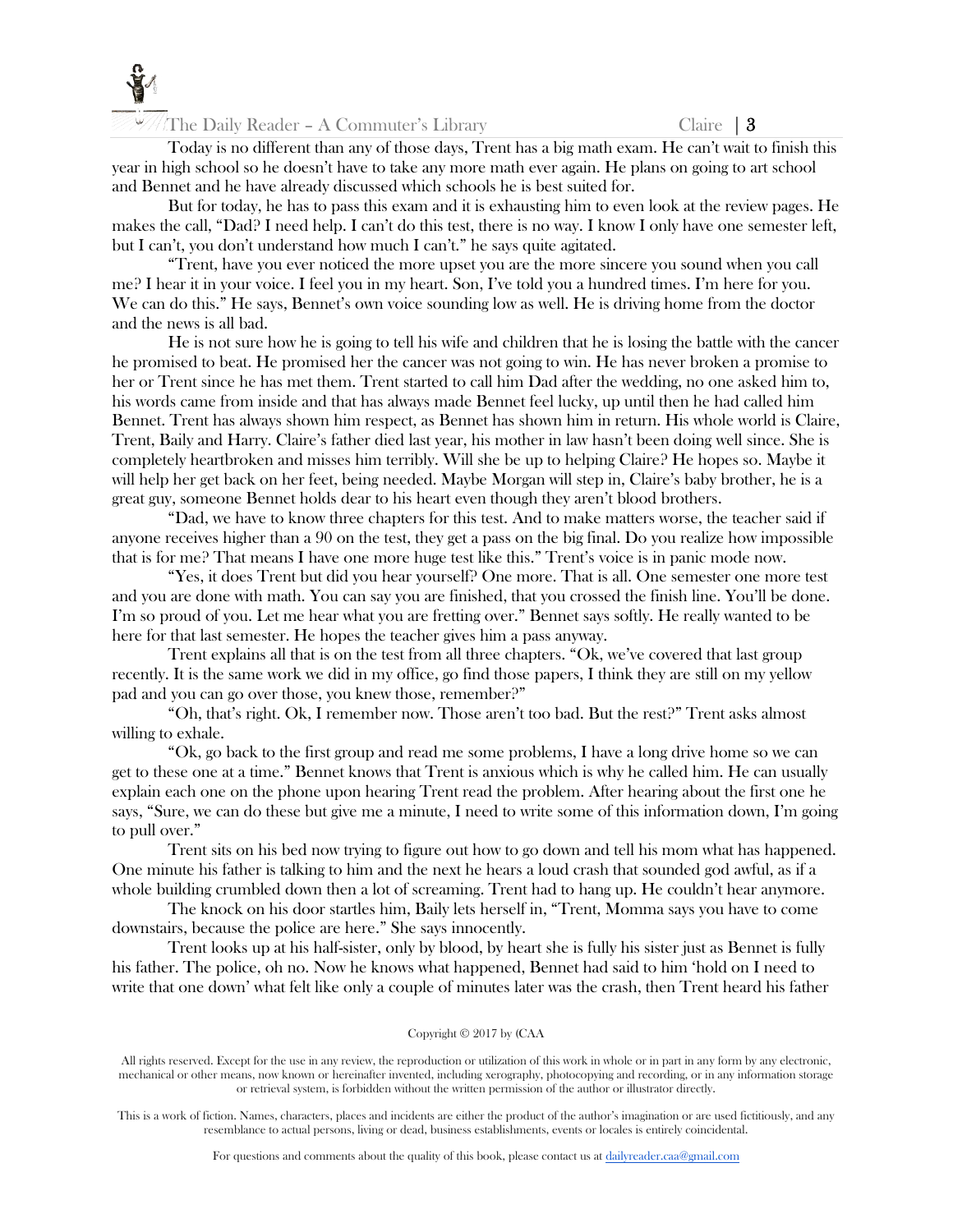

The Daily Reader – A Commuter's Library Claire  $\begin{bmatrix} 3 \end{bmatrix}$ 

Today is no different than any of those days, Trent has a big math exam. He can't wait to finish this year in high school so he doesn't have to take any more math ever again. He plans on going to art school and Bennet and he have already discussed which schools he is best suited for.

But for today, he has to pass this exam and it is exhausting him to even look at the review pages. He makes the call, "Dad? I need help. I can't do this test, there is no way. I know I only have one semester left, but I can't, you don't understand how much I can't." he says quite agitated.

"Trent, have you ever noticed the more upset you are the more sincere you sound when you call me? I hear it in your voice. I feel you in my heart. Son, I've told you a hundred times. I'm here for you. We can do this." He says, Bennet's own voice sounding low as well. He is driving home from the doctor and the news is all bad.

He is not sure how he is going to tell his wife and children that he is losing the battle with the cancer he promised to beat. He promised her the cancer was not going to win. He has never broken a promise to her or Trent since he has met them. Trent started to call him Dad after the wedding, no one asked him to, his words came from inside and that has always made Bennet feel lucky, up until then he had called him Bennet. Trent has always shown him respect, as Bennet has shown him in return. His whole world is Claire, Trent, Baily and Harry. Claire's father died last year, his mother in law hasn't been doing well since. She is completely heartbroken and misses him terribly. Will she be up to helping Claire? He hopes so. Maybe it will help her get back on her feet, being needed. Maybe Morgan will step in, Claire's baby brother, he is a great guy, someone Bennet holds dear to his heart even though they aren't blood brothers.

"Dad, we have to know three chapters for this test. And to make matters worse, the teacher said if anyone receives higher than a 90 on the test, they get a pass on the big final. Do you realize how impossible that is for me? That means I have one more huge test like this." Trent's voice is in panic mode now.

"Yes, it does Trent but did you hear yourself? One more. That is all. One semester one more test and you are done with math. You can say you are finished, that you crossed the finish line. You'll be done. I'm so proud of you. Let me hear what you are fretting over." Bennet says softly. He really wanted to be here for that last semester. He hopes the teacher gives him a pass anyway.

Trent explains all that is on the test from all three chapters. "Ok, we've covered that last group recently. It is the same work we did in my office, go find those papers, I think they are still on my yellow pad and you can go over those, you knew those, remember?"

"Oh, that's right. Ok, I remember now. Those aren't too bad. But the rest?" Trent asks almost willing to exhale.

"Ok, go back to the first group and read me some problems, I have a long drive home so we can get to these one at a time." Bennet knows that Trent is anxious which is why he called him. He can usually explain each one on the phone upon hearing Trent read the problem. After hearing about the first one he says, "Sure, we can do these but give me a minute, I need to write some of this information down, I'm going to pull over."

Trent sits on his bed now trying to figure out how to go down and tell his mom what has happened. One minute his father is talking to him and the next he hears a loud crash that sounded god awful, as if a whole building crumbled down then a lot of screaming. Trent had to hang up. He couldn't hear anymore.

The knock on his door startles him, Baily lets herself in, "Trent, Momma says you have to come downstairs, because the police are here." She says innocently.

Trent looks up at his half-sister, only by blood, by heart she is fully his sister just as Bennet is fully his father. The police, oh no. Now he knows what happened, Bennet had said to him 'hold on I need to write that one down' what felt like only a couple of minutes later was the crash, then Trent heard his father

#### Copyright © 2017 by (CAA

All rights reserved. Except for the use in any review, the reproduction or utilization of this work in whole or in part in any form by any electronic, mechanical or other means, now known or hereinafter invented, including xerography, photocopying and recording, or in any information storage or retrieval system, is forbidden without the written permission of the author or illustrator directly.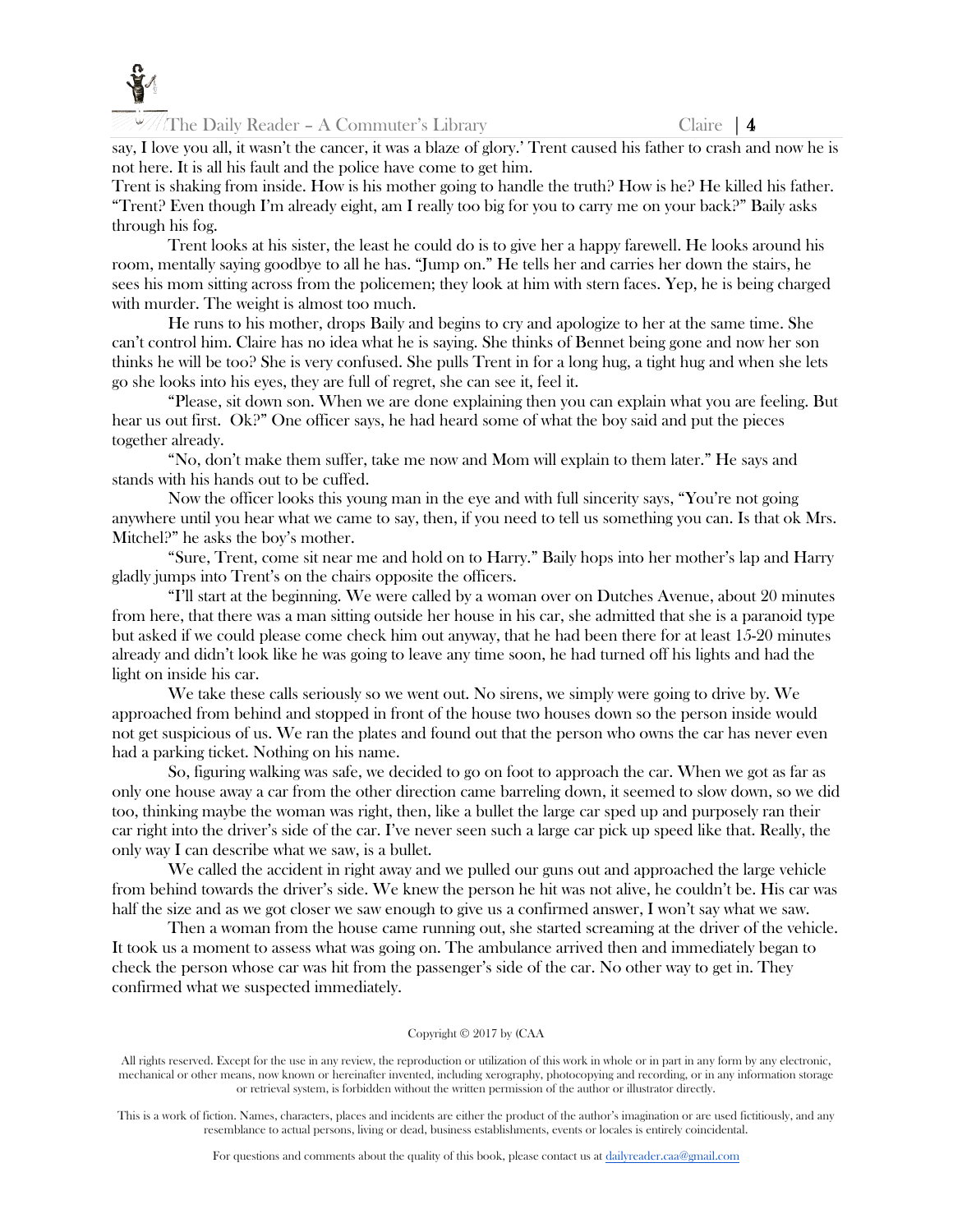

The Daily Reader – A Commuter's Library Claire | 4

say, I love you all, it wasn't the cancer, it was a blaze of glory.' Trent caused his father to crash and now he is not here. It is all his fault and the police have come to get him.

Trent is shaking from inside. How is his mother going to handle the truth? How is he? He killed his father. "Trent? Even though I'm already eight, am I really too big for you to carry me on your back?" Baily asks through his fog.

Trent looks at his sister, the least he could do is to give her a happy farewell. He looks around his room, mentally saying goodbye to all he has. "Jump on." He tells her and carries her down the stairs, he sees his mom sitting across from the policemen; they look at him with stern faces. Yep, he is being charged with murder. The weight is almost too much.

He runs to his mother, drops Baily and begins to cry and apologize to her at the same time. She can't control him. Claire has no idea what he is saying. She thinks of Bennet being gone and now her son thinks he will be too? She is very confused. She pulls Trent in for a long hug, a tight hug and when she lets go she looks into his eyes, they are full of regret, she can see it, feel it.

"Please, sit down son. When we are done explaining then you can explain what you are feeling. But hear us out first. Ok?" One officer says, he had heard some of what the boy said and put the pieces together already.

"No, don't make them suffer, take me now and Mom will explain to them later." He says and stands with his hands out to be cuffed.

Now the officer looks this young man in the eye and with full sincerity says, "You're not going anywhere until you hear what we came to say, then, if you need to tell us something you can. Is that ok Mrs. Mitchel?" he asks the boy's mother.

"Sure, Trent, come sit near me and hold on to Harry." Baily hops into her mother's lap and Harry gladly jumps into Trent's on the chairs opposite the officers.

"I'll start at the beginning. We were called by a woman over on Dutches Avenue, about 20 minutes from here, that there was a man sitting outside her house in his car, she admitted that she is a paranoid type but asked if we could please come check him out anyway, that he had been there for at least 15-20 minutes already and didn't look like he was going to leave any time soon, he had turned off his lights and had the light on inside his car.

We take these calls seriously so we went out. No sirens, we simply were going to drive by. We approached from behind and stopped in front of the house two houses down so the person inside would not get suspicious of us. We ran the plates and found out that the person who owns the car has never even had a parking ticket. Nothing on his name.

So, figuring walking was safe, we decided to go on foot to approach the car. When we got as far as only one house away a car from the other direction came barreling down, it seemed to slow down, so we did too, thinking maybe the woman was right, then, like a bullet the large car sped up and purposely ran their car right into the driver's side of the car. I've never seen such a large car pick up speed like that. Really, the only way I can describe what we saw, is a bullet.

We called the accident in right away and we pulled our guns out and approached the large vehicle from behind towards the driver's side. We knew the person he hit was not alive, he couldn't be. His car was half the size and as we got closer we saw enough to give us a confirmed answer, I won't say what we saw.

Then a woman from the house came running out, she started screaming at the driver of the vehicle. It took us a moment to assess what was going on. The ambulance arrived then and immediately began to check the person whose car was hit from the passenger's side of the car. No other way to get in. They confirmed what we suspected immediately.

#### Copyright © 2017 by (CAA

All rights reserved. Except for the use in any review, the reproduction or utilization of this work in whole or in part in any form by any electronic, mechanical or other means, now known or hereinafter invented, including xerography, photocopying and recording, or in any information storage or retrieval system, is forbidden without the written permission of the author or illustrator directly.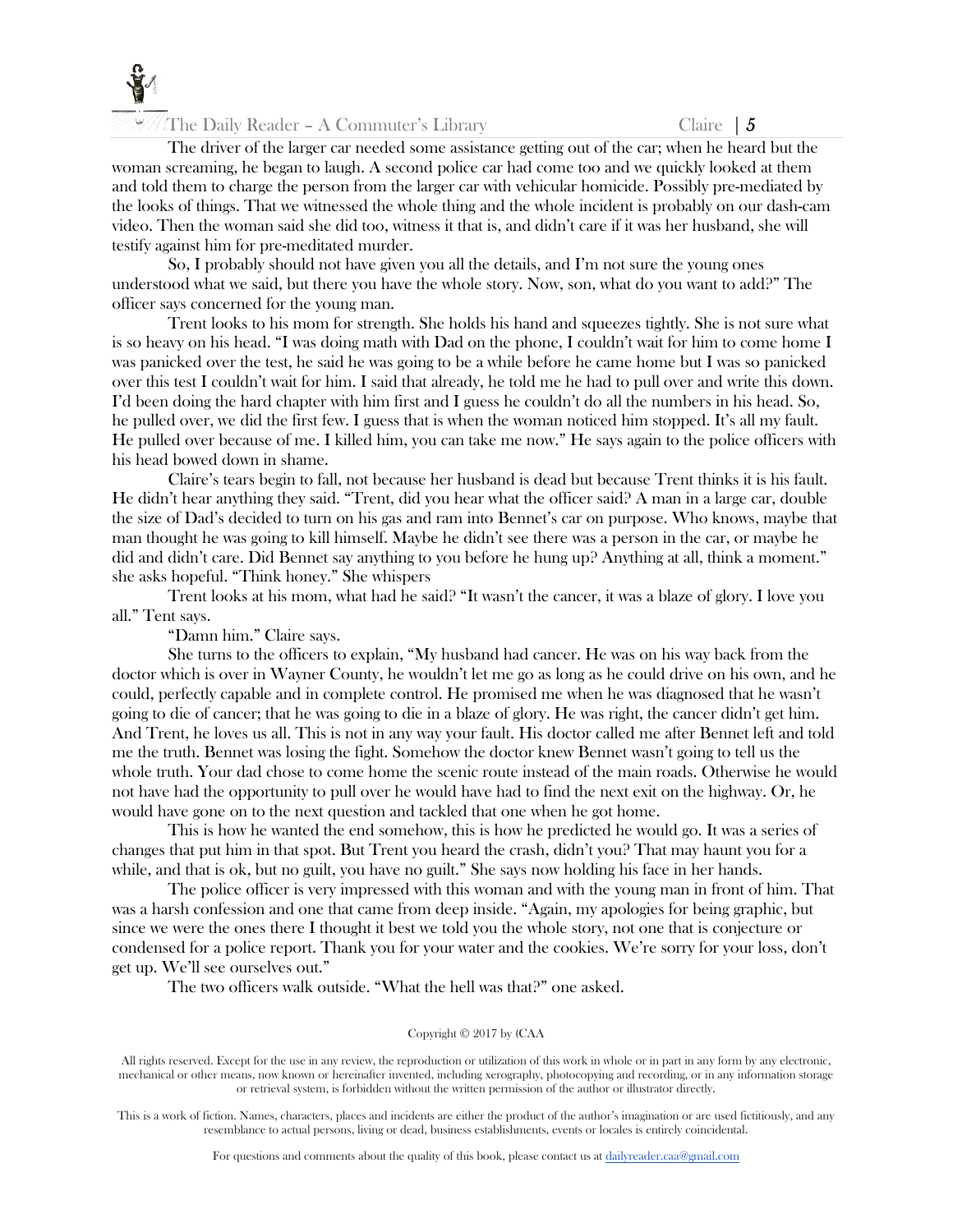

The Daily Reader – A Commuter's Library Claire  $\begin{bmatrix} 5 \end{bmatrix}$ 

The driver of the larger car needed some assistance getting out of the car; when he heard but the woman screaming, he began to laugh. A second police car had come too and we quickly looked at them and told them to charge the person from the larger car with vehicular homicide. Possibly pre-mediated by the looks of things. That we witnessed the whole thing and the whole incident is probably on our dash-cam video. Then the woman said she did too, witness it that is, and didn't care if it was her husband, she will testify against him for pre-meditated murder.

So, I probably should not have given you all the details, and I'm not sure the young ones understood what we said, but there you have the whole story. Now, son, what do you want to add?" The officer says concerned for the young man.

Trent looks to his mom for strength. She holds his hand and squeezes tightly. She is not sure what is so heavy on his head. "I was doing math with Dad on the phone, I couldn't wait for him to come home I was panicked over the test, he said he was going to be a while before he came home but I was so panicked over this test I couldn't wait for him. I said that already, he told me he had to pull over and write this down. I'd been doing the hard chapter with him first and I guess he couldn't do all the numbers in his head. So, he pulled over, we did the first few. I guess that is when the woman noticed him stopped. It's all my fault. He pulled over because of me. I killed him, you can take me now." He says again to the police officers with his head bowed down in shame.

Claire's tears begin to fall, not because her husband is dead but because Trent thinks it is his fault. He didn't hear anything they said. "Trent, did you hear what the officer said? A man in a large car, double the size of Dad's decided to turn on his gas and ram into Bennet's car on purpose. Who knows, maybe that man thought he was going to kill himself. Maybe he didn't see there was a person in the car, or maybe he did and didn't care. Did Bennet say anything to you before he hung up? Anything at all, think a moment." she asks hopeful. "Think honey." She whispers

Trent looks at his mom, what had he said? "It wasn't the cancer, it was a blaze of glory. I love you all." Tent says.

"Damn him." Claire says.

She turns to the officers to explain, "My husband had cancer. He was on his way back from the doctor which is over in Wayner County, he wouldn't let me go as long as he could drive on his own, and he could, perfectly capable and in complete control. He promised me when he was diagnosed that he wasn't going to die of cancer; that he was going to die in a blaze of glory. He was right, the cancer didn't get him. And Trent, he loves us all. This is not in any way your fault. His doctor called me after Bennet left and told me the truth. Bennet was losing the fight. Somehow the doctor knew Bennet wasn't going to tell us the whole truth. Your dad chose to come home the scenic route instead of the main roads. Otherwise he would not have had the opportunity to pull over he would have had to find the next exit on the highway. Or, he would have gone on to the next question and tackled that one when he got home.

This is how he wanted the end somehow, this is how he predicted he would go. It was a series of changes that put him in that spot. But Trent you heard the crash, didn't you? That may haunt you for a while, and that is ok, but no guilt, you have no guilt." She says now holding his face in her hands.

The police officer is very impressed with this woman and with the young man in front of him. That was a harsh confession and one that came from deep inside. "Again, my apologies for being graphic, but since we were the ones there I thought it best we told you the whole story, not one that is conjecture or condensed for a police report. Thank you for your water and the cookies. We're sorry for your loss, don't get up. We'll see ourselves out."

The two officers walk outside. "What the hell was that?" one asked.

#### Copyright © 2017 by (CAA

All rights reserved. Except for the use in any review, the reproduction or utilization of this work in whole or in part in any form by any electronic, mechanical or other means, now known or hereinafter invented, including xerography, photocopying and recording, or in any information storage or retrieval system, is forbidden without the written permission of the author or illustrator directly.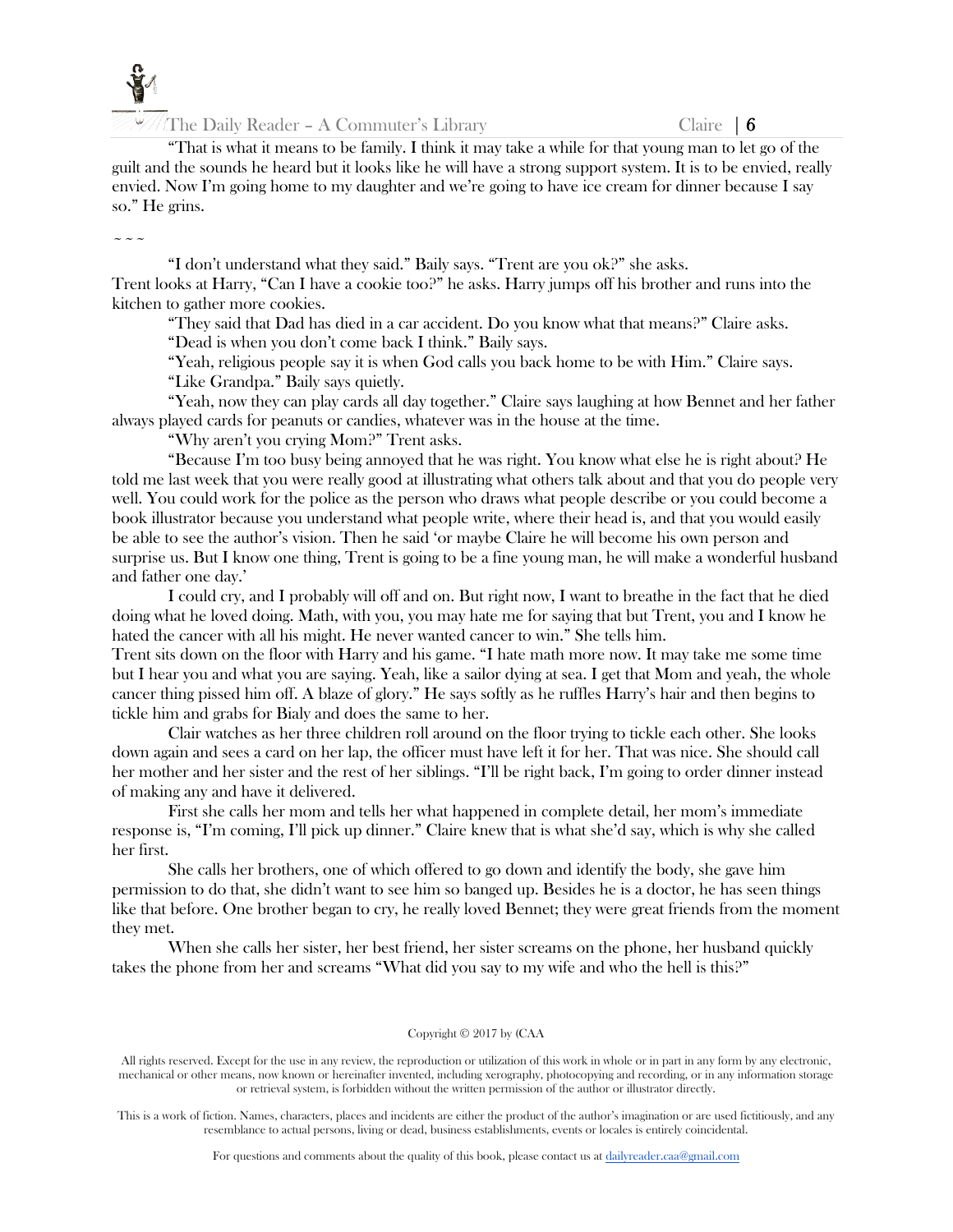

"That is what it means to be family. I think it may take a while for that young man to let go of the guilt and the sounds he heard but it looks like he will have a strong support system. It is to be envied, really envied. Now I'm going home to my daughter and we're going to have ice cream for dinner because I say so." He grins.

 $\sim$   $\sim$   $\sim$ 

"I don't understand what they said." Baily says. "Trent are you ok?" she asks. Trent looks at Harry, "Can I have a cookie too?" he asks. Harry jumps off his brother and runs into the kitchen to gather more cookies.

"They said that Dad has died in a car accident. Do you know what that means?" Claire asks.

"Dead is when you don't come back I think." Baily says.

"Yeah, religious people say it is when God calls you back home to be with Him." Claire says.

"Like Grandpa." Baily says quietly.

"Yeah, now they can play cards all day together." Claire says laughing at how Bennet and her father always played cards for peanuts or candies, whatever was in the house at the time.

"Why aren't you crying Mom?" Trent asks.

"Because I'm too busy being annoyed that he was right. You know what else he is right about? He told me last week that you were really good at illustrating what others talk about and that you do people very well. You could work for the police as the person who draws what people describe or you could become a book illustrator because you understand what people write, where their head is, and that you would easily be able to see the author's vision. Then he said 'or maybe Claire he will become his own person and surprise us. But I know one thing, Trent is going to be a fine young man, he will make a wonderful husband and father one day.'

I could cry, and I probably will off and on. But right now, I want to breathe in the fact that he died doing what he loved doing. Math, with you, you may hate me for saying that but Trent, you and I know he hated the cancer with all his might. He never wanted cancer to win." She tells him.

Trent sits down on the floor with Harry and his game. "I hate math more now. It may take me some time but I hear you and what you are saying. Yeah, like a sailor dying at sea. I get that Mom and yeah, the whole cancer thing pissed him off. A blaze of glory." He says softly as he ruffles Harry's hair and then begins to tickle him and grabs for Bialy and does the same to her.

Clair watches as her three children roll around on the floor trying to tickle each other. She looks down again and sees a card on her lap, the officer must have left it for her. That was nice. She should call her mother and her sister and the rest of her siblings. "I'll be right back, I'm going to order dinner instead of making any and have it delivered.

First she calls her mom and tells her what happened in complete detail, her mom's immediate response is, "I'm coming, I'll pick up dinner." Claire knew that is what she'd say, which is why she called her first.

She calls her brothers, one of which offered to go down and identify the body, she gave him permission to do that, she didn't want to see him so banged up. Besides he is a doctor, he has seen things like that before. One brother began to cry, he really loved Bennet; they were great friends from the moment they met.

When she calls her sister, her best friend, her sister screams on the phone, her husband quickly takes the phone from her and screams "What did you say to my wife and who the hell is this?"

#### Copyright © 2017 by (CAA

All rights reserved. Except for the use in any review, the reproduction or utilization of this work in whole or in part in any form by any electronic, mechanical or other means, now known or hereinafter invented, including xerography, photocopying and recording, or in any information storage or retrieval system, is forbidden without the written permission of the author or illustrator directly.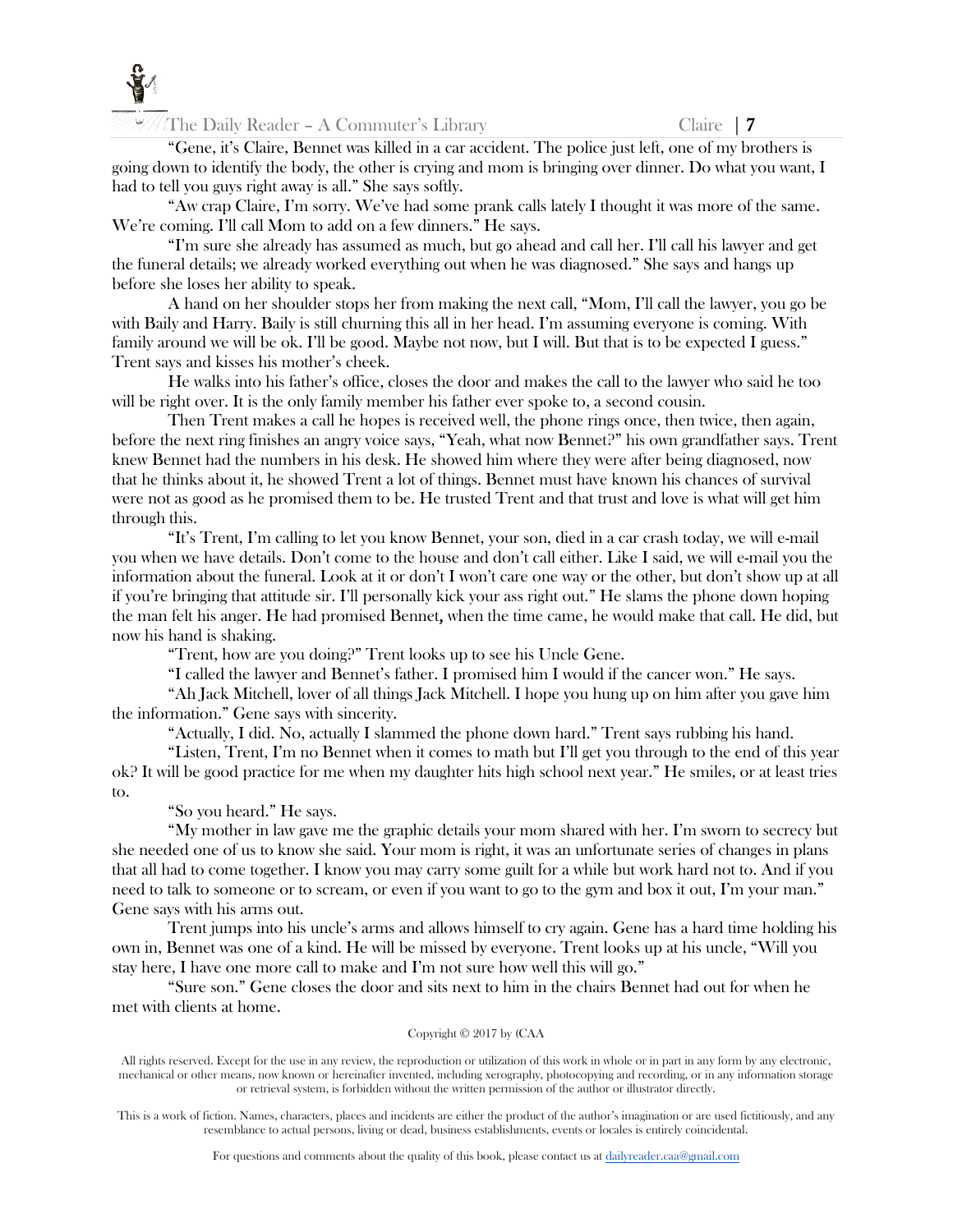

The Daily Reader – A Commuter's Library Claire | 7

"Gene, it's Claire, Bennet was killed in a car accident. The police just left, one of my brothers is going down to identify the body, the other is crying and mom is bringing over dinner. Do what you want, I had to tell you guys right away is all." She says softly.

"Aw crap Claire, I'm sorry. We've had some prank calls lately I thought it was more of the same. We're coming. I'll call Mom to add on a few dinners." He says.

"I'm sure she already has assumed as much, but go ahead and call her. I'll call his lawyer and get the funeral details; we already worked everything out when he was diagnosed." She says and hangs up before she loses her ability to speak.

A hand on her shoulder stops her from making the next call, "Mom, I'll call the lawyer, you go be with Baily and Harry. Baily is still churning this all in her head. I'm assuming everyone is coming. With family around we will be ok. I'll be good. Maybe not now, but I will. But that is to be expected I guess." Trent says and kisses his mother's cheek.

He walks into his father's office, closes the door and makes the call to the lawyer who said he too will be right over. It is the only family member his father ever spoke to, a second cousin.

Then Trent makes a call he hopes is received well, the phone rings once, then twice, then again, before the next ring finishes an angry voice says, "Yeah, what now Bennet?" his own grandfather says. Trent knew Bennet had the numbers in his desk. He showed him where they were after being diagnosed, now that he thinks about it, he showed Trent a lot of things. Bennet must have known his chances of survival were not as good as he promised them to be. He trusted Trent and that trust and love is what will get him through this.

"It's Trent, I'm calling to let you know Bennet, your son, died in a car crash today, we will e-mail you when we have details. Don't come to the house and don't call either. Like I said, we will e-mail you the information about the funeral. Look at it or don't I won't care one way or the other, but don't show up at all if you're bringing that attitude sir. I'll personally kick your ass right out." He slams the phone down hoping the man felt his anger. He had promised Bennet, when the time came, he would make that call. He did, but now his hand is shaking.

"Trent, how are you doing?" Trent looks up to see his Uncle Gene.

"I called the lawyer and Bennet's father. I promised him I would if the cancer won." He says.

"Ah Jack Mitchell, lover of all things Jack Mitchell. I hope you hung up on him after you gave him the information." Gene says with sincerity.

"Actually, I did. No, actually I slammed the phone down hard." Trent says rubbing his hand.

"Listen, Trent, I'm no Bennet when it comes to math but I'll get you through to the end of this year ok? It will be good practice for me when my daughter hits high school next year." He smiles, or at least tries to.

"So you heard." He says.

"My mother in law gave me the graphic details your mom shared with her. I'm sworn to secrecy but she needed one of us to know she said. Your mom is right, it was an unfortunate series of changes in plans that all had to come together. I know you may carry some guilt for a while but work hard not to. And if you need to talk to someone or to scream, or even if you want to go to the gym and box it out, I'm your man." Gene says with his arms out.

Trent jumps into his uncle's arms and allows himself to cry again. Gene has a hard time holding his own in, Bennet was one of a kind. He will be missed by everyone. Trent looks up at his uncle, "Will you stay here, I have one more call to make and I'm not sure how well this will go."

"Sure son." Gene closes the door and sits next to him in the chairs Bennet had out for when he met with clients at home.

#### Copyright © 2017 by (CAA

All rights reserved. Except for the use in any review, the reproduction or utilization of this work in whole or in part in any form by any electronic, mechanical or other means, now known or hereinafter invented, including xerography, photocopying and recording, or in any information storage or retrieval system, is forbidden without the written permission of the author or illustrator directly.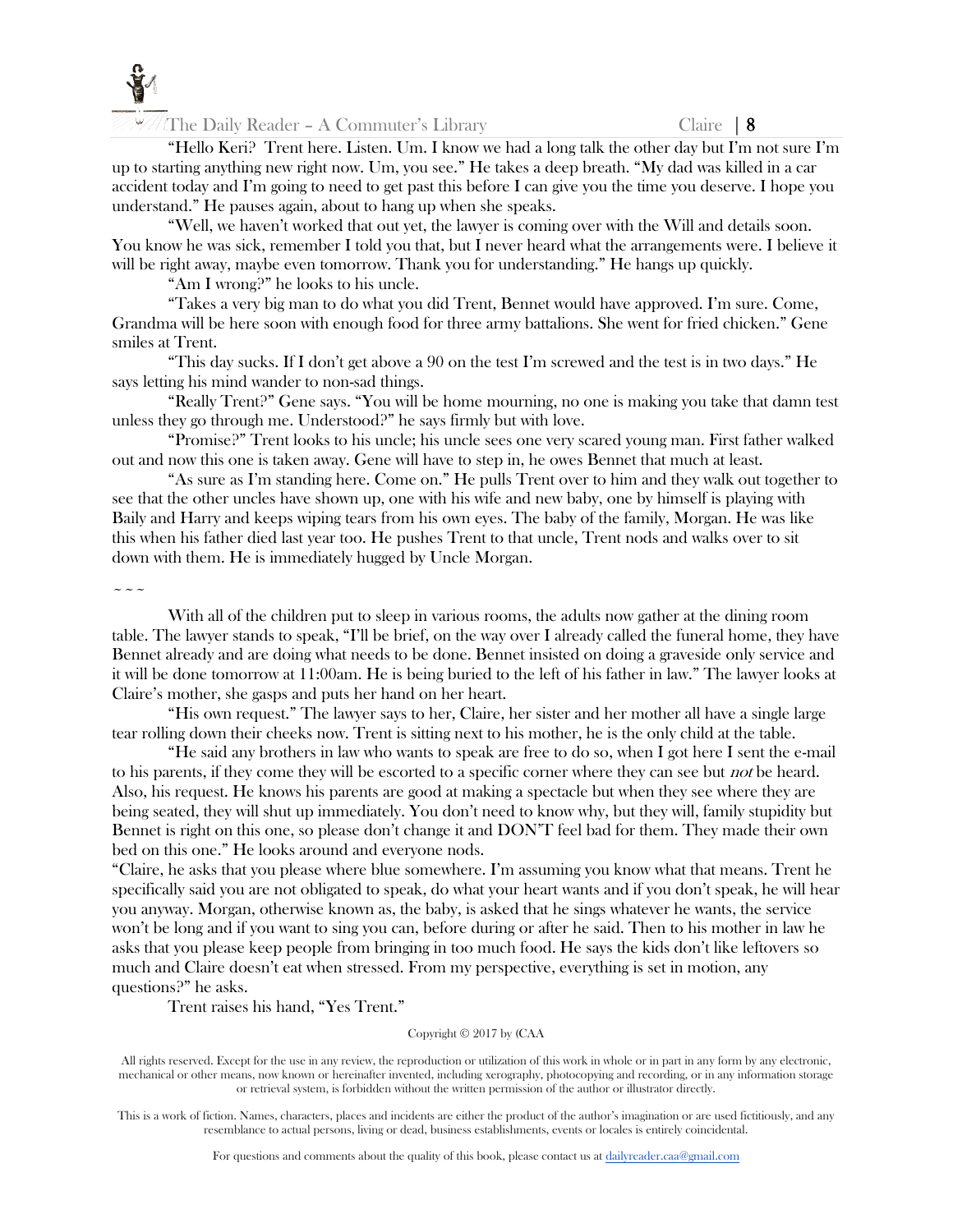

The Daily Reader – A Commuter's Library Claire  $\begin{array}{|l|l|} \hline \end{array}$ 

"Hello Keri? Trent here. Listen. Um. I know we had a long talk the other day but I'm not sure I'm up to starting anything new right now. Um, you see." He takes a deep breath. "My dad was killed in a car accident today and I'm going to need to get past this before I can give you the time you deserve. I hope you understand." He pauses again, about to hang up when she speaks.

"Well, we haven't worked that out yet, the lawyer is coming over with the Will and details soon. You know he was sick, remember I told you that, but I never heard what the arrangements were. I believe it will be right away, maybe even tomorrow. Thank you for understanding." He hangs up quickly.

"Am I wrong?" he looks to his uncle.

"Takes a very big man to do what you did Trent, Bennet would have approved. I'm sure. Come, Grandma will be here soon with enough food for three army battalions. She went for fried chicken." Gene smiles at Trent.

"This day sucks. If I don't get above a 90 on the test I'm screwed and the test is in two days." He says letting his mind wander to non-sad things.

"Really Trent?" Gene says. "You will be home mourning, no one is making you take that damn test unless they go through me. Understood?" he says firmly but with love.

"Promise?" Trent looks to his uncle; his uncle sees one very scared young man. First father walked out and now this one is taken away. Gene will have to step in, he owes Bennet that much at least.

"As sure as I'm standing here. Come on." He pulls Trent over to him and they walk out together to see that the other uncles have shown up, one with his wife and new baby, one by himself is playing with Baily and Harry and keeps wiping tears from his own eyes. The baby of the family, Morgan. He was like this when his father died last year too. He pushes Trent to that uncle, Trent nods and walks over to sit down with them. He is immediately hugged by Uncle Morgan.

 $\sim\sim\sim$ 

With all of the children put to sleep in various rooms, the adults now gather at the dining room table. The lawyer stands to speak, "I'll be brief, on the way over I already called the funeral home, they have Bennet already and are doing what needs to be done. Bennet insisted on doing a graveside only service and it will be done tomorrow at 11:00am. He is being buried to the left of his father in law." The lawyer looks at Claire's mother, she gasps and puts her hand on her heart.

"His own request." The lawyer says to her, Claire, her sister and her mother all have a single large tear rolling down their cheeks now. Trent is sitting next to his mother, he is the only child at the table.

"He said any brothers in law who wants to speak are free to do so, when I got here I sent the e-mail to his parents, if they come they will be escorted to a specific corner where they can see but *not* be heard. Also, his request. He knows his parents are good at making a spectacle but when they see where they are being seated, they will shut up immediately. You don't need to know why, but they will, family stupidity but Bennet is right on this one, so please don't change it and DON'T feel bad for them. They made their own bed on this one." He looks around and everyone nods.

"Claire, he asks that you please where blue somewhere. I'm assuming you know what that means. Trent he specifically said you are not obligated to speak, do what your heart wants and if you don't speak, he will hear you anyway. Morgan, otherwise known as, the baby, is asked that he sings whatever he wants, the service won't be long and if you want to sing you can, before during or after he said. Then to his mother in law he asks that you please keep people from bringing in too much food. He says the kids don't like leftovers so much and Claire doesn't eat when stressed. From my perspective, everything is set in motion, any questions?" he asks.

Trent raises his hand, "Yes Trent."

#### Copyright © 2017 by (CAA

All rights reserved. Except for the use in any review, the reproduction or utilization of this work in whole or in part in any form by any electronic, mechanical or other means, now known or hereinafter invented, including xerography, photocopying and recording, or in any information storage or retrieval system, is forbidden without the written permission of the author or illustrator directly.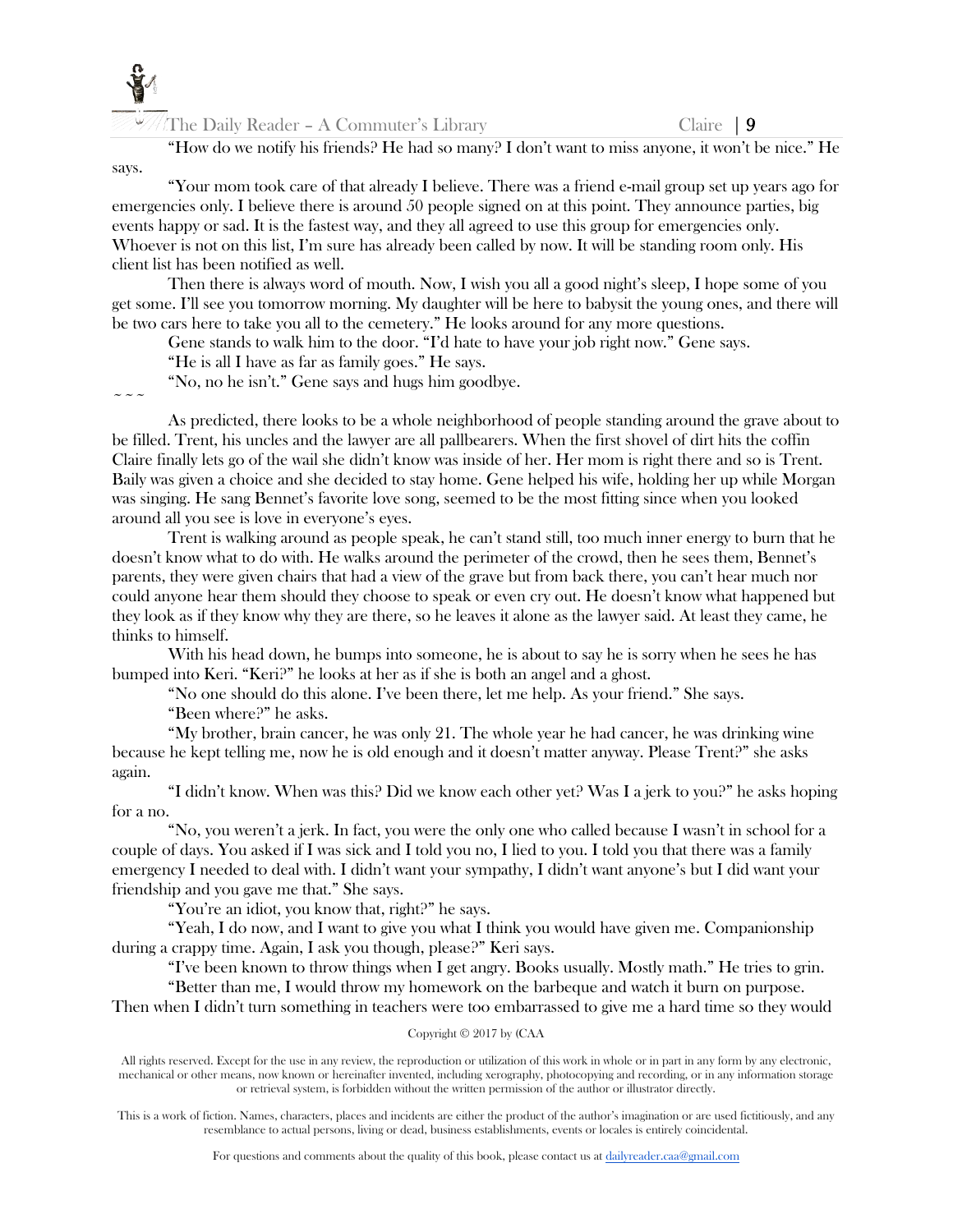

"How do we notify his friends? He had so many? I don't want to miss anyone, it won't be nice." He

says.

 $\sim$   $\sim$   $\sim$ 

"Your mom took care of that already I believe. There was a friend e-mail group set up years ago for emergencies only. I believe there is around 50 people signed on at this point. They announce parties, big events happy or sad. It is the fastest way, and they all agreed to use this group for emergencies only. Whoever is not on this list, I'm sure has already been called by now. It will be standing room only. His client list has been notified as well.

Then there is always word of mouth. Now, I wish you all a good night's sleep, I hope some of you get some. I'll see you tomorrow morning. My daughter will be here to babysit the young ones, and there will be two cars here to take you all to the cemetery." He looks around for any more questions.

Gene stands to walk him to the door. "I'd hate to have your job right now." Gene says.

"He is all I have as far as family goes." He says.

"No, no he isn't." Gene says and hugs him goodbye.

As predicted, there looks to be a whole neighborhood of people standing around the grave about to be filled. Trent, his uncles and the lawyer are all pallbearers. When the first shovel of dirt hits the coffin Claire finally lets go of the wail she didn't know was inside of her. Her mom is right there and so is Trent. Baily was given a choice and she decided to stay home. Gene helped his wife, holding her up while Morgan was singing. He sang Bennet's favorite love song, seemed to be the most fitting since when you looked around all you see is love in everyone's eyes.

Trent is walking around as people speak, he can't stand still, too much inner energy to burn that he doesn't know what to do with. He walks around the perimeter of the crowd, then he sees them, Bennet's parents, they were given chairs that had a view of the grave but from back there, you can't hear much nor could anyone hear them should they choose to speak or even cry out. He doesn't know what happened but they look as if they know why they are there, so he leaves it alone as the lawyer said. At least they came, he thinks to himself.

With his head down, he bumps into someone, he is about to say he is sorry when he sees he has bumped into Keri. "Keri?" he looks at her as if she is both an angel and a ghost.

"No one should do this alone. I've been there, let me help. As your friend." She says.

"Been where?" he asks.

"My brother, brain cancer, he was only 21. The whole year he had cancer, he was drinking wine because he kept telling me, now he is old enough and it doesn't matter anyway. Please Trent?" she asks again.

"I didn't know. When was this? Did we know each other yet? Was I a jerk to you?" he asks hoping for a no.

"No, you weren't a jerk. In fact, you were the only one who called because I wasn't in school for a couple of days. You asked if I was sick and I told you no, I lied to you. I told you that there was a family emergency I needed to deal with. I didn't want your sympathy, I didn't want anyone's but I did want your friendship and you gave me that." She says.

"You're an idiot, you know that, right?" he says.

"Yeah, I do now, and I want to give you what I think you would have given me. Companionship during a crappy time. Again, I ask you though, please?" Keri says.

"I've been known to throw things when I get angry. Books usually. Mostly math." He tries to grin. "Better than me, I would throw my homework on the barbeque and watch it burn on purpose.

Then when I didn't turn something in teachers were too embarrassed to give me a hard time so they would

Copyright © 2017 by (CAA

All rights reserved. Except for the use in any review, the reproduction or utilization of this work in whole or in part in any form by any electronic, mechanical or other means, now known or hereinafter invented, including xerography, photocopying and recording, or in any information storage or retrieval system, is forbidden without the written permission of the author or illustrator directly.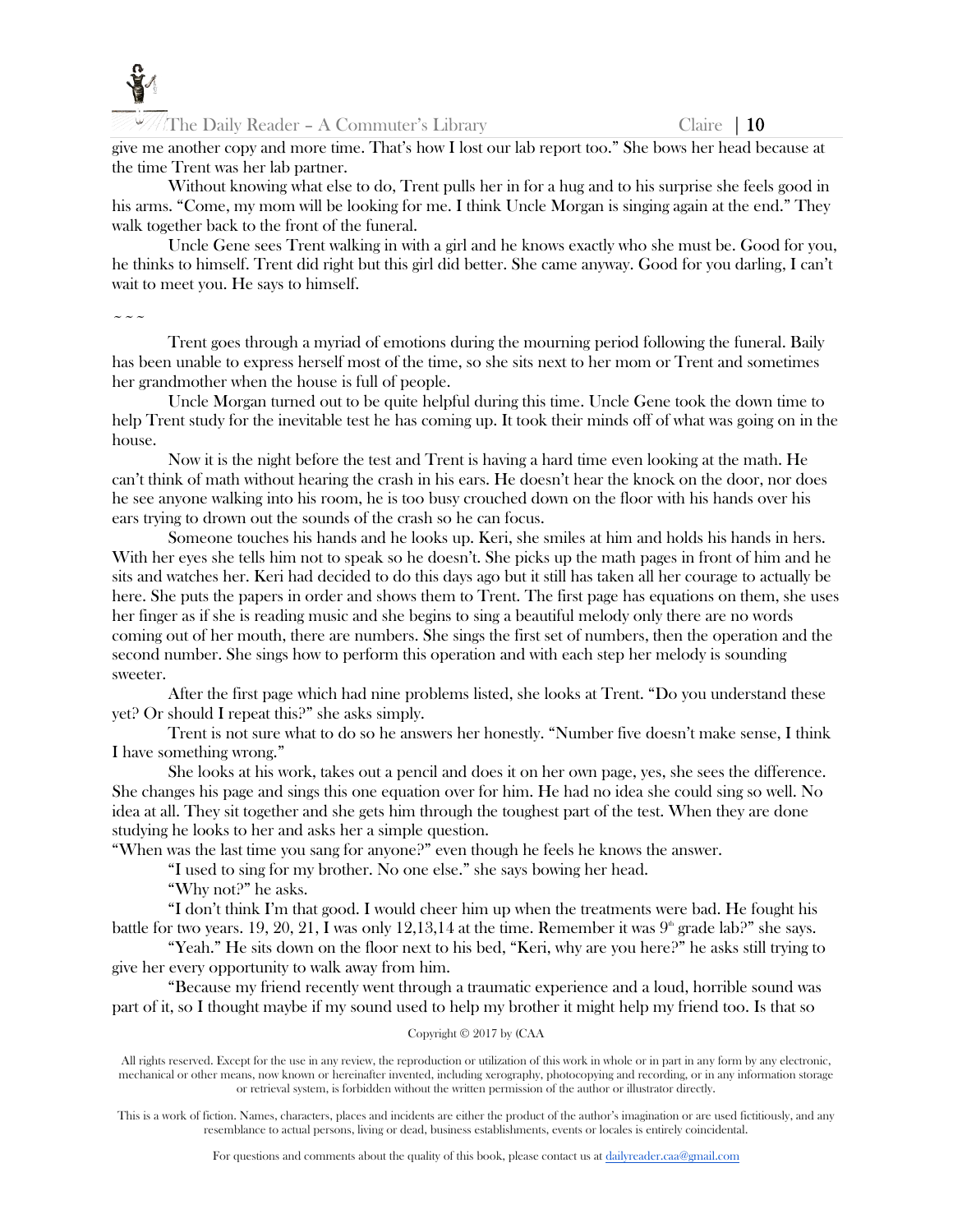

 $\mathbb{Z}/\mathbb{Z}$  The Daily Reader – A Commuter's Library Claire | 10

give me another copy and more time. That's how I lost our lab report too." She bows her head because at the time Trent was her lab partner.

Without knowing what else to do, Trent pulls her in for a hug and to his surprise she feels good in his arms. "Come, my mom will be looking for me. I think Uncle Morgan is singing again at the end." They walk together back to the front of the funeral.

Uncle Gene sees Trent walking in with a girl and he knows exactly who she must be. Good for you, he thinks to himself. Trent did right but this girl did better. She came anyway. Good for you darling, I can't wait to meet you. He says to himself.

 $\sim$   $\sim$   $\sim$ 

Trent goes through a myriad of emotions during the mourning period following the funeral. Baily has been unable to express herself most of the time, so she sits next to her mom or Trent and sometimes her grandmother when the house is full of people.

Uncle Morgan turned out to be quite helpful during this time. Uncle Gene took the down time to help Trent study for the inevitable test he has coming up. It took their minds off of what was going on in the house.

Now it is the night before the test and Trent is having a hard time even looking at the math. He can't think of math without hearing the crash in his ears. He doesn't hear the knock on the door, nor does he see anyone walking into his room, he is too busy crouched down on the floor with his hands over his ears trying to drown out the sounds of the crash so he can focus.

Someone touches his hands and he looks up. Keri, she smiles at him and holds his hands in hers. With her eyes she tells him not to speak so he doesn't. She picks up the math pages in front of him and he sits and watches her. Keri had decided to do this days ago but it still has taken all her courage to actually be here. She puts the papers in order and shows them to Trent. The first page has equations on them, she uses her finger as if she is reading music and she begins to sing a beautiful melody only there are no words coming out of her mouth, there are numbers. She sings the first set of numbers, then the operation and the second number. She sings how to perform this operation and with each step her melody is sounding sweeter.

After the first page which had nine problems listed, she looks at Trent. "Do you understand these yet? Or should I repeat this?" she asks simply.

Trent is not sure what to do so he answers her honestly. "Number five doesn't make sense, I think I have something wrong."

She looks at his work, takes out a pencil and does it on her own page, yes, she sees the difference. She changes his page and sings this one equation over for him. He had no idea she could sing so well. No idea at all. They sit together and she gets him through the toughest part of the test. When they are done studying he looks to her and asks her a simple question.

"When was the last time you sang for anyone?" even though he feels he knows the answer.

"I used to sing for my brother. No one else." she says bowing her head.

"Why not?" he asks.

"I don't think I'm that good. I would cheer him up when the treatments were bad. He fought his battle for two years. 19, 20, 21, I was only 12,13,14 at the time. Remember it was  $9<sup>th</sup>$  grade lab?" she says.

"Yeah." He sits down on the floor next to his bed, "Keri, why are you here?" he asks still trying to give her every opportunity to walk away from him.

"Because my friend recently went through a traumatic experience and a loud, horrible sound was part of it, so I thought maybe if my sound used to help my brother it might help my friend too. Is that so

## Copyright © 2017 by (CAA

All rights reserved. Except for the use in any review, the reproduction or utilization of this work in whole or in part in any form by any electronic, mechanical or other means, now known or hereinafter invented, including xerography, photocopying and recording, or in any information storage or retrieval system, is forbidden without the written permission of the author or illustrator directly.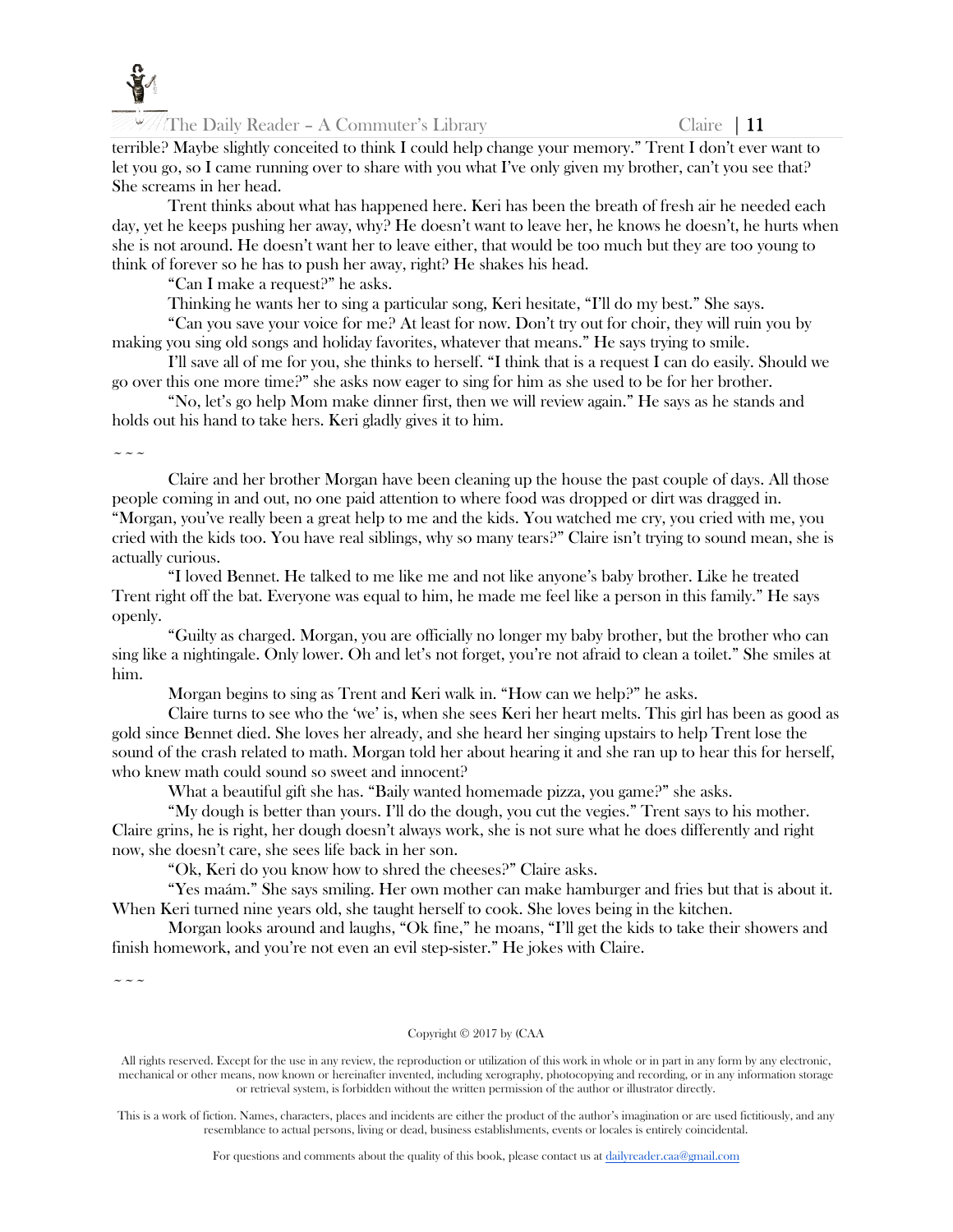

 $\ln$  The Daily Reader – A Commuter's Library Claire | 11

terrible? Maybe slightly conceited to think I could help change your memory." Trent I don't ever want to let you go, so I came running over to share with you what I've only given my brother, can't you see that? She screams in her head.

Trent thinks about what has happened here. Keri has been the breath of fresh air he needed each day, yet he keeps pushing her away, why? He doesn't want to leave her, he knows he doesn't, he hurts when she is not around. He doesn't want her to leave either, that would be too much but they are too young to think of forever so he has to push her away, right? He shakes his head.

"Can I make a request?" he asks.

Thinking he wants her to sing a particular song, Keri hesitate, "I'll do my best." She says.

"Can you save your voice for me? At least for now. Don't try out for choir, they will ruin you by making you sing old songs and holiday favorites, whatever that means." He says trying to smile.

I'll save all of me for you, she thinks to herself. "I think that is a request I can do easily. Should we go over this one more time?" she asks now eager to sing for him as she used to be for her brother.

"No, let's go help Mom make dinner first, then we will review again." He says as he stands and holds out his hand to take hers. Keri gladly gives it to him.

 $\sim$   $\sim$   $\sim$ 

Claire and her brother Morgan have been cleaning up the house the past couple of days. All those people coming in and out, no one paid attention to where food was dropped or dirt was dragged in. "Morgan, you've really been a great help to me and the kids. You watched me cry, you cried with me, you cried with the kids too. You have real siblings, why so many tears?" Claire isn't trying to sound mean, she is actually curious.

"I loved Bennet. He talked to me like me and not like anyone's baby brother. Like he treated Trent right off the bat. Everyone was equal to him, he made me feel like a person in this family." He says openly.

"Guilty as charged. Morgan, you are officially no longer my baby brother, but the brother who can sing like a nightingale. Only lower. Oh and let's not forget, you're not afraid to clean a toilet." She smiles at him.

Morgan begins to sing as Trent and Keri walk in. "How can we help?" he asks.

Claire turns to see who the 'we' is, when she sees Keri her heart melts. This girl has been as good as gold since Bennet died. She loves her already, and she heard her singing upstairs to help Trent lose the sound of the crash related to math. Morgan told her about hearing it and she ran up to hear this for herself, who knew math could sound so sweet and innocent?

What a beautiful gift she has. "Baily wanted homemade pizza, you game?" she asks.

"My dough is better than yours. I'll do the dough, you cut the vegies." Trent says to his mother. Claire grins, he is right, her dough doesn't always work, she is not sure what he does differently and right now, she doesn't care, she sees life back in her son.

"Ok, Keri do you know how to shred the cheeses?" Claire asks.

"Yes maám." She says smiling. Her own mother can make hamburger and fries but that is about it. When Keri turned nine years old, she taught herself to cook. She loves being in the kitchen.

Morgan looks around and laughs, "Ok fine," he moans, "I'll get the kids to take their showers and finish homework, and you're not even an evil step-sister." He jokes with Claire.

 $\sim$   $\sim$   $\sim$ 

#### Copyright © 2017 by (CAA

All rights reserved. Except for the use in any review, the reproduction or utilization of this work in whole or in part in any form by any electronic, mechanical or other means, now known or hereinafter invented, including xerography, photocopying and recording, or in any information storage or retrieval system, is forbidden without the written permission of the author or illustrator directly.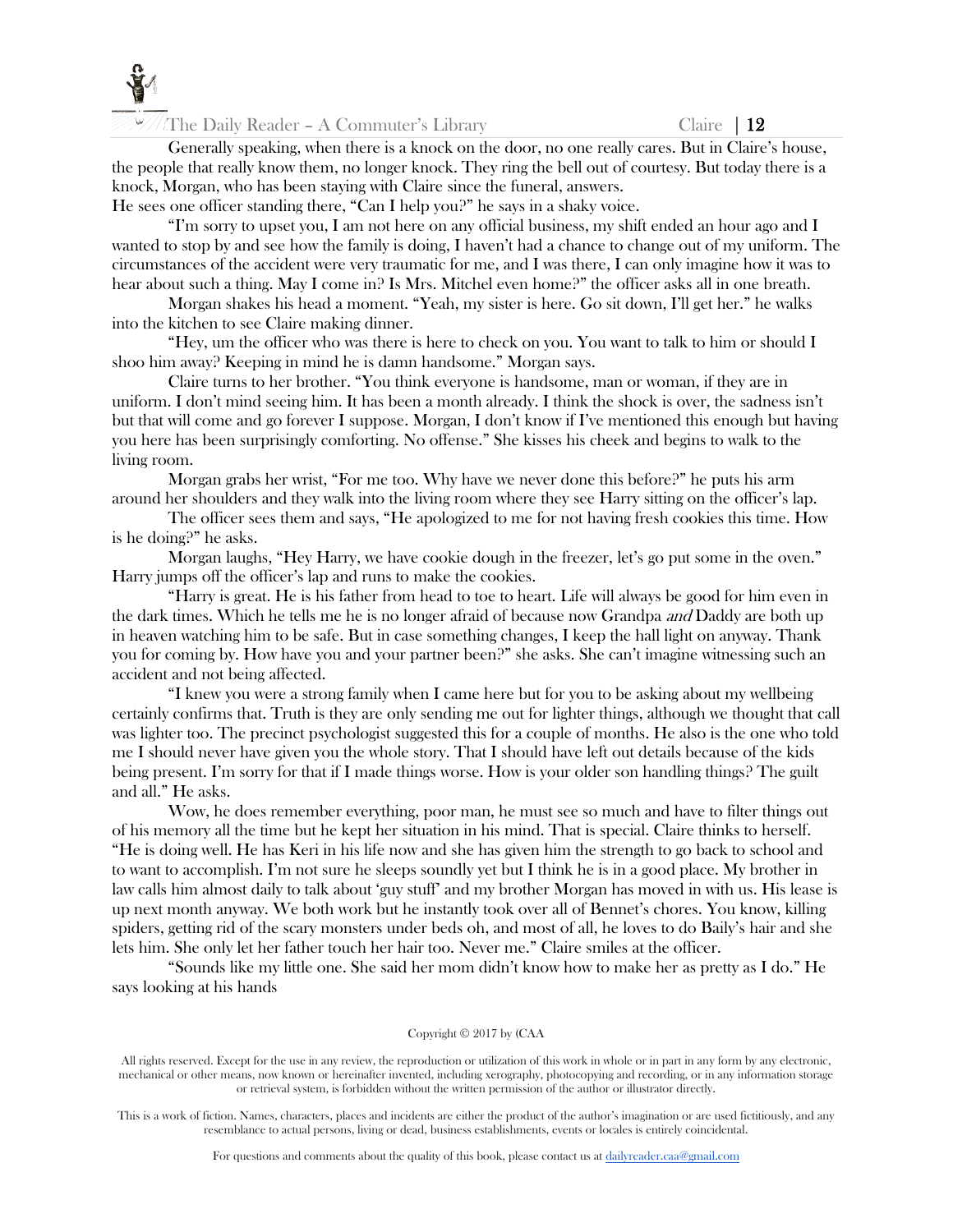

The Daily Reader – A Commuter's Library Claire  $\begin{array}{c} \n\end{array}$  Claire  $\begin{array}{c} \n\end{array}$ 

Generally speaking, when there is a knock on the door, no one really cares. But in Claire's house, the people that really know them, no longer knock. They ring the bell out of courtesy. But today there is a knock, Morgan, who has been staying with Claire since the funeral, answers.

He sees one officer standing there, "Can I help you?" he says in a shaky voice.

"I'm sorry to upset you, I am not here on any official business, my shift ended an hour ago and I wanted to stop by and see how the family is doing, I haven't had a chance to change out of my uniform. The circumstances of the accident were very traumatic for me, and I was there, I can only imagine how it was to hear about such a thing. May I come in? Is Mrs. Mitchel even home?" the officer asks all in one breath.

Morgan shakes his head a moment. "Yeah, my sister is here. Go sit down, I'll get her." he walks into the kitchen to see Claire making dinner.

"Hey, um the officer who was there is here to check on you. You want to talk to him or should I shoo him away? Keeping in mind he is damn handsome." Morgan says.

Claire turns to her brother. "You think everyone is handsome, man or woman, if they are in uniform. I don't mind seeing him. It has been a month already. I think the shock is over, the sadness isn't but that will come and go forever I suppose. Morgan, I don't know if I've mentioned this enough but having you here has been surprisingly comforting. No offense." She kisses his cheek and begins to walk to the living room.

Morgan grabs her wrist, "For me too. Why have we never done this before?" he puts his arm around her shoulders and they walk into the living room where they see Harry sitting on the officer's lap.

The officer sees them and says, "He apologized to me for not having fresh cookies this time. How is he doing?" he asks.

Morgan laughs, "Hey Harry, we have cookie dough in the freezer, let's go put some in the oven." Harry jumps off the officer's lap and runs to make the cookies.

"Harry is great. He is his father from head to toe to heart. Life will always be good for him even in the dark times. Which he tells me he is no longer afraid of because now Grandpa *and* Daddy are both up in heaven watching him to be safe. But in case something changes, I keep the hall light on anyway. Thank you for coming by. How have you and your partner been?" she asks. She can't imagine witnessing such an accident and not being affected.

"I knew you were a strong family when I came here but for you to be asking about my wellbeing certainly confirms that. Truth is they are only sending me out for lighter things, although we thought that call was lighter too. The precinct psychologist suggested this for a couple of months. He also is the one who told me I should never have given you the whole story. That I should have left out details because of the kids being present. I'm sorry for that if I made things worse. How is your older son handling things? The guilt and all." He asks.

Wow, he does remember everything, poor man, he must see so much and have to filter things out of his memory all the time but he kept her situation in his mind. That is special. Claire thinks to herself. "He is doing well. He has Keri in his life now and she has given him the strength to go back to school and to want to accomplish. I'm not sure he sleeps soundly yet but I think he is in a good place. My brother in law calls him almost daily to talk about 'guy stuff' and my brother Morgan has moved in with us. His lease is up next month anyway. We both work but he instantly took over all of Bennet's chores. You know, killing spiders, getting rid of the scary monsters under beds oh, and most of all, he loves to do Baily's hair and she lets him. She only let her father touch her hair too. Never me." Claire smiles at the officer.

"Sounds like my little one. She said her mom didn't know how to make her as pretty as I do." He says looking at his hands

#### Copyright © 2017 by (CAA

All rights reserved. Except for the use in any review, the reproduction or utilization of this work in whole or in part in any form by any electronic, mechanical or other means, now known or hereinafter invented, including xerography, photocopying and recording, or in any information storage or retrieval system, is forbidden without the written permission of the author or illustrator directly.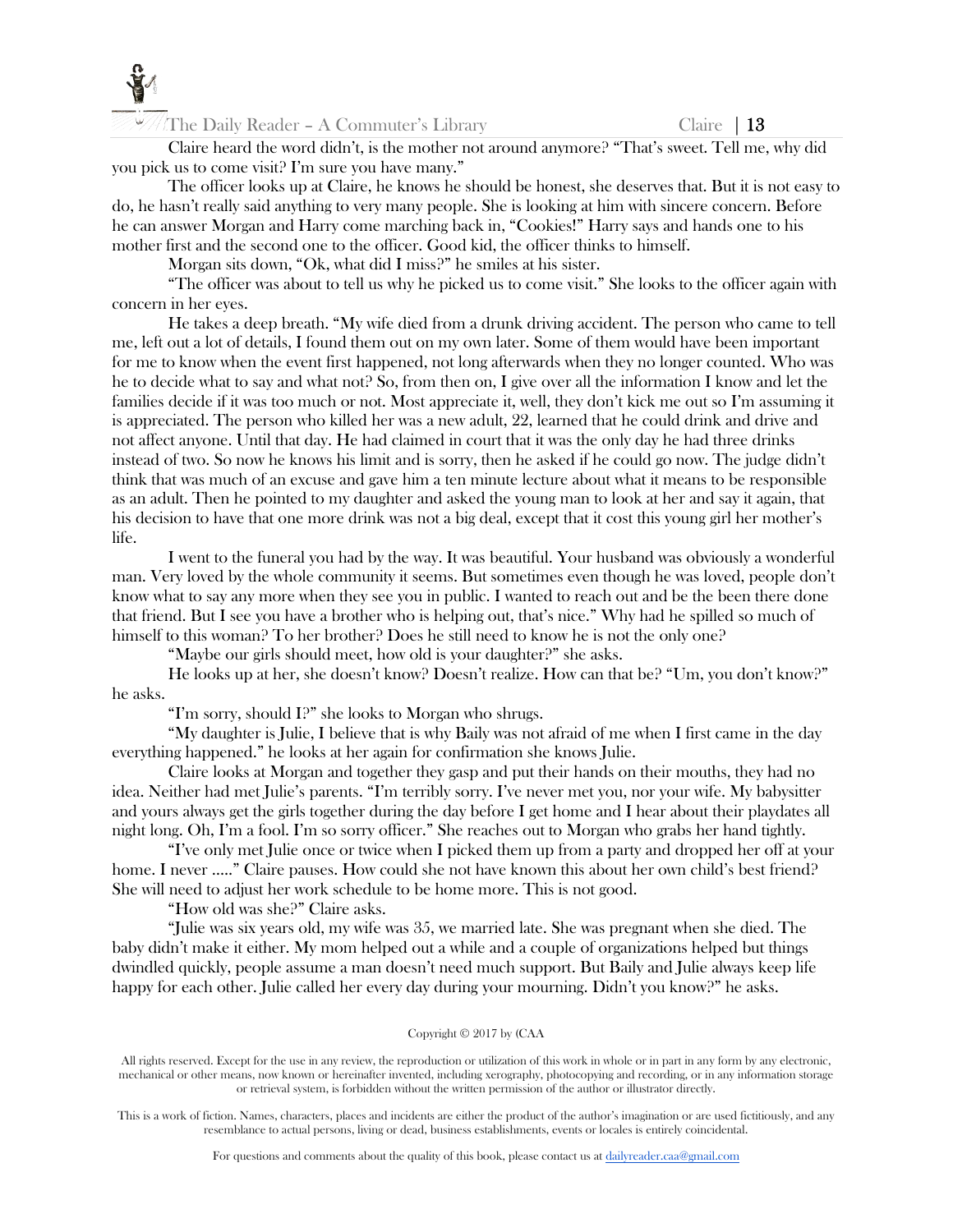

Claire heard the word didn't, is the mother not around anymore? "That's sweet. Tell me, why did you pick us to come visit? I'm sure you have many."

The officer looks up at Claire, he knows he should be honest, she deserves that. But it is not easy to do, he hasn't really said anything to very many people. She is looking at him with sincere concern. Before he can answer Morgan and Harry come marching back in, "Cookies!" Harry says and hands one to his mother first and the second one to the officer. Good kid, the officer thinks to himself.

Morgan sits down, "Ok, what did I miss?" he smiles at his sister.

"The officer was about to tell us why he picked us to come visit." She looks to the officer again with concern in her eyes.

He takes a deep breath. "My wife died from a drunk driving accident. The person who came to tell me, left out a lot of details, I found them out on my own later. Some of them would have been important for me to know when the event first happened, not long afterwards when they no longer counted. Who was he to decide what to say and what not? So, from then on, I give over all the information I know and let the families decide if it was too much or not. Most appreciate it, well, they don't kick me out so I'm assuming it is appreciated. The person who killed her was a new adult, 22, learned that he could drink and drive and not affect anyone. Until that day. He had claimed in court that it was the only day he had three drinks instead of two. So now he knows his limit and is sorry, then he asked if he could go now. The judge didn't think that was much of an excuse and gave him a ten minute lecture about what it means to be responsible as an adult. Then he pointed to my daughter and asked the young man to look at her and say it again, that his decision to have that one more drink was not a big deal, except that it cost this young girl her mother's life.

I went to the funeral you had by the way. It was beautiful. Your husband was obviously a wonderful man. Very loved by the whole community it seems. But sometimes even though he was loved, people don't know what to say any more when they see you in public. I wanted to reach out and be the been there done that friend. But I see you have a brother who is helping out, that's nice." Why had he spilled so much of himself to this woman? To her brother? Does he still need to know he is not the only one?

"Maybe our girls should meet, how old is your daughter?" she asks.

He looks up at her, she doesn't know? Doesn't realize. How can that be? "Um, you don't know?" he asks.

"I'm sorry, should I?" she looks to Morgan who shrugs.

"My daughter is Julie, I believe that is why Baily was not afraid of me when I first came in the day everything happened." he looks at her again for confirmation she knows Julie.

Claire looks at Morgan and together they gasp and put their hands on their mouths, they had no idea. Neither had met Julie's parents. "I'm terribly sorry. I've never met you, nor your wife. My babysitter and yours always get the girls together during the day before I get home and I hear about their playdates all night long. Oh, I'm a fool. I'm so sorry officer." She reaches out to Morgan who grabs her hand tightly.

"I've only met Julie once or twice when I picked them up from a party and dropped her off at your home. I never ....." Claire pauses. How could she not have known this about her own child's best friend? She will need to adjust her work schedule to be home more. This is not good.

"How old was she?" Claire asks.

"Julie was six years old, my wife was 35, we married late. She was pregnant when she died. The baby didn't make it either. My mom helped out a while and a couple of organizations helped but things dwindled quickly, people assume a man doesn't need much support. But Baily and Julie always keep life happy for each other. Julie called her every day during your mourning. Didn't you know?" he asks.

#### Copyright © 2017 by (CAA

All rights reserved. Except for the use in any review, the reproduction or utilization of this work in whole or in part in any form by any electronic, mechanical or other means, now known or hereinafter invented, including xerography, photocopying and recording, or in any information storage or retrieval system, is forbidden without the written permission of the author or illustrator directly.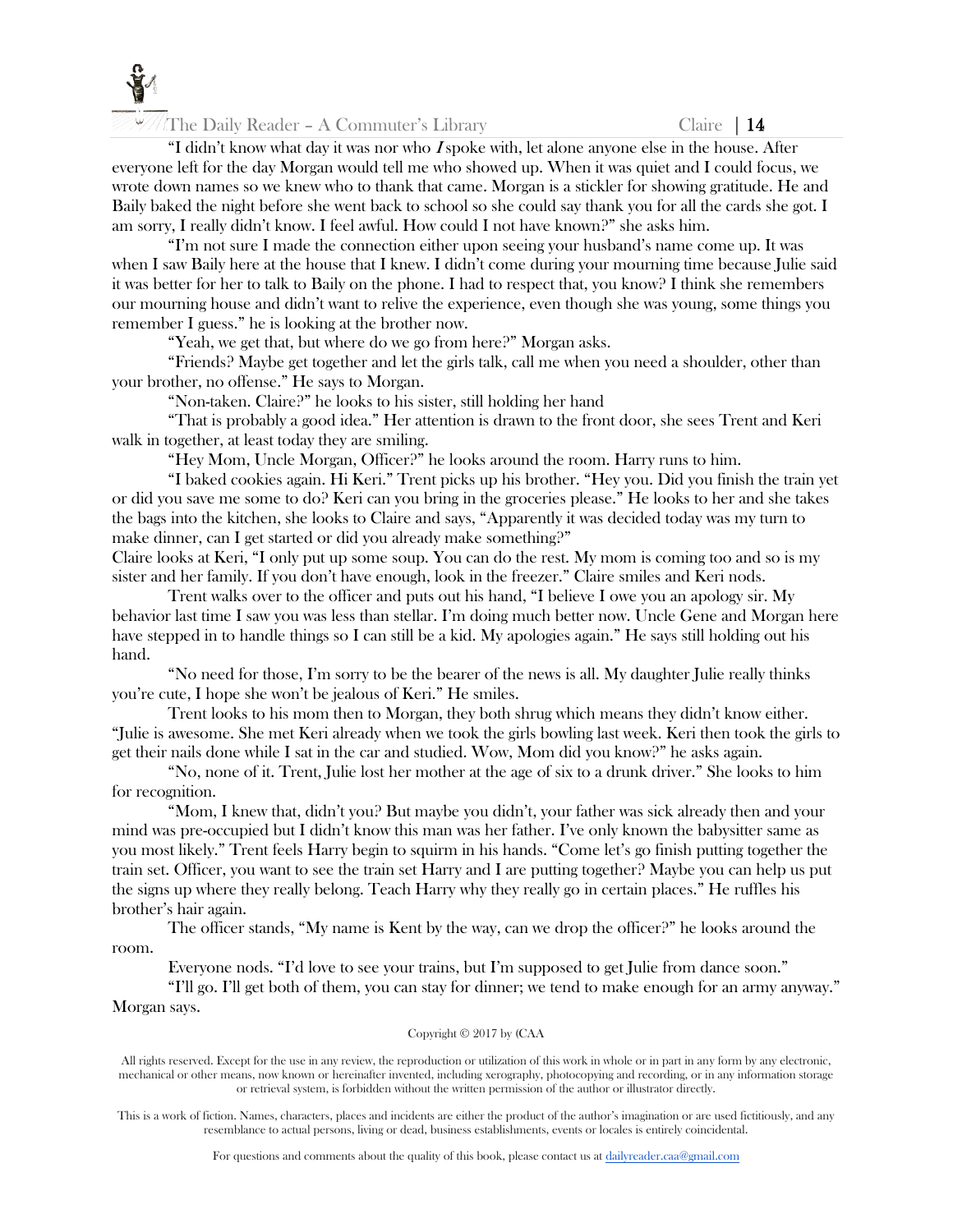

The Daily Reader – A Commuter's Library Claire  $\begin{array}{c} \n\end{array}$  Claire  $\begin{array}{c} \n\end{array}$ 

"I didn't know what day it was nor who I spoke with, let alone anyone else in the house. After everyone left for the day Morgan would tell me who showed up. When it was quiet and I could focus, we wrote down names so we knew who to thank that came. Morgan is a stickler for showing gratitude. He and Baily baked the night before she went back to school so she could say thank you for all the cards she got. I am sorry, I really didn't know. I feel awful. How could I not have known?" she asks him.

"I'm not sure I made the connection either upon seeing your husband's name come up. It was when I saw Baily here at the house that I knew. I didn't come during your mourning time because Julie said it was better for her to talk to Baily on the phone. I had to respect that, you know? I think she remembers our mourning house and didn't want to relive the experience, even though she was young, some things you remember I guess." he is looking at the brother now.

"Yeah, we get that, but where do we go from here?" Morgan asks.

"Friends? Maybe get together and let the girls talk, call me when you need a shoulder, other than your brother, no offense." He says to Morgan.

"Non-taken. Claire?" he looks to his sister, still holding her hand

"That is probably a good idea." Her attention is drawn to the front door, she sees Trent and Keri walk in together, at least today they are smiling.

"Hey Mom, Uncle Morgan, Officer?" he looks around the room. Harry runs to him.

"I baked cookies again. Hi Keri." Trent picks up his brother. "Hey you. Did you finish the train yet or did you save me some to do? Keri can you bring in the groceries please." He looks to her and she takes the bags into the kitchen, she looks to Claire and says, "Apparently it was decided today was my turn to make dinner, can I get started or did you already make something?"

Claire looks at Keri, "I only put up some soup. You can do the rest. My mom is coming too and so is my sister and her family. If you don't have enough, look in the freezer." Claire smiles and Keri nods.

Trent walks over to the officer and puts out his hand, "I believe I owe you an apology sir. My behavior last time I saw you was less than stellar. I'm doing much better now. Uncle Gene and Morgan here have stepped in to handle things so I can still be a kid. My apologies again." He says still holding out his hand.

"No need for those, I'm sorry to be the bearer of the news is all. My daughter Julie really thinks you're cute, I hope she won't be jealous of Keri." He smiles.

Trent looks to his mom then to Morgan, they both shrug which means they didn't know either. "Julie is awesome. She met Keri already when we took the girls bowling last week. Keri then took the girls to get their nails done while I sat in the car and studied. Wow, Mom did you know?" he asks again.

"No, none of it. Trent, Julie lost her mother at the age of six to a drunk driver." She looks to him for recognition.

"Mom, I knew that, didn't you? But maybe you didn't, your father was sick already then and your mind was pre-occupied but I didn't know this man was her father. I've only known the babysitter same as you most likely." Trent feels Harry begin to squirm in his hands. "Come let's go finish putting together the train set. Officer, you want to see the train set Harry and I are putting together? Maybe you can help us put the signs up where they really belong. Teach Harry why they really go in certain places." He ruffles his brother's hair again.

The officer stands, "My name is Kent by the way, can we drop the officer?" he looks around the room.

Everyone nods. "I'd love to see your trains, but I'm supposed to get Julie from dance soon."

"I'll go. I'll get both of them, you can stay for dinner; we tend to make enough for an army anyway." Morgan says.

#### Copyright © 2017 by (CAA

All rights reserved. Except for the use in any review, the reproduction or utilization of this work in whole or in part in any form by any electronic, mechanical or other means, now known or hereinafter invented, including xerography, photocopying and recording, or in any information storage or retrieval system, is forbidden without the written permission of the author or illustrator directly.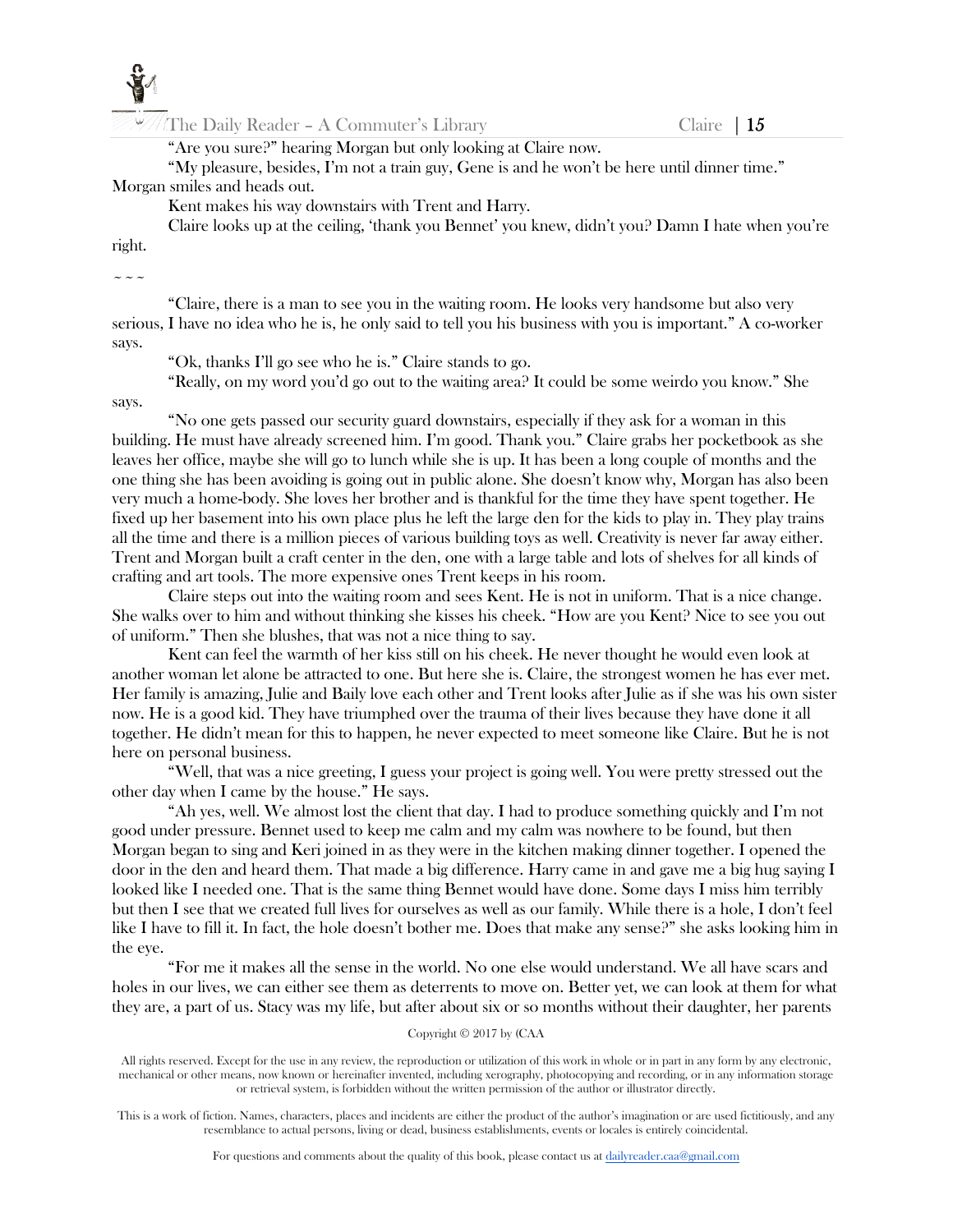

"Are you sure?" hearing Morgan but only looking at Claire now.

"My pleasure, besides, I'm not a train guy, Gene is and he won't be here until dinner time." Morgan smiles and heads out.

Kent makes his way downstairs with Trent and Harry.

Claire looks up at the ceiling, 'thank you Bennet' you knew, didn't you? Damn I hate when you're right.

#### $\sim\sim\sim$

says.

"Claire, there is a man to see you in the waiting room. He looks very handsome but also very serious, I have no idea who he is, he only said to tell you his business with you is important." A co-worker says.

"Ok, thanks I'll go see who he is." Claire stands to go.

"Really, on my word you'd go out to the waiting area? It could be some weirdo you know." She

"No one gets passed our security guard downstairs, especially if they ask for a woman in this building. He must have already screened him. I'm good. Thank you." Claire grabs her pocketbook as she leaves her office, maybe she will go to lunch while she is up. It has been a long couple of months and the one thing she has been avoiding is going out in public alone. She doesn't know why, Morgan has also been very much a home-body. She loves her brother and is thankful for the time they have spent together. He fixed up her basement into his own place plus he left the large den for the kids to play in. They play trains all the time and there is a million pieces of various building toys as well. Creativity is never far away either. Trent and Morgan built a craft center in the den, one with a large table and lots of shelves for all kinds of crafting and art tools. The more expensive ones Trent keeps in his room.

Claire steps out into the waiting room and sees Kent. He is not in uniform. That is a nice change. She walks over to him and without thinking she kisses his cheek. "How are you Kent? Nice to see you out of uniform." Then she blushes, that was not a nice thing to say.

Kent can feel the warmth of her kiss still on his cheek. He never thought he would even look at another woman let alone be attracted to one. But here she is. Claire, the strongest women he has ever met. Her family is amazing, Julie and Baily love each other and Trent looks after Julie as if she was his own sister now. He is a good kid. They have triumphed over the trauma of their lives because they have done it all together. He didn't mean for this to happen, he never expected to meet someone like Claire. But he is not here on personal business.

"Well, that was a nice greeting, I guess your project is going well. You were pretty stressed out the other day when I came by the house." He says.

"Ah yes, well. We almost lost the client that day. I had to produce something quickly and I'm not good under pressure. Bennet used to keep me calm and my calm was nowhere to be found, but then Morgan began to sing and Keri joined in as they were in the kitchen making dinner together. I opened the door in the den and heard them. That made a big difference. Harry came in and gave me a big hug saying I looked like I needed one. That is the same thing Bennet would have done. Some days I miss him terribly but then I see that we created full lives for ourselves as well as our family. While there is a hole, I don't feel like I have to fill it. In fact, the hole doesn't bother me. Does that make any sense?" she asks looking him in the eye.

"For me it makes all the sense in the world. No one else would understand. We all have scars and holes in our lives, we can either see them as deterrents to move on. Better yet, we can look at them for what they are, a part of us. Stacy was my life, but after about six or so months without their daughter, her parents

# Copyright © 2017 by (CAA

All rights reserved. Except for the use in any review, the reproduction or utilization of this work in whole or in part in any form by any electronic, mechanical or other means, now known or hereinafter invented, including xerography, photocopying and recording, or in any information storage or retrieval system, is forbidden without the written permission of the author or illustrator directly.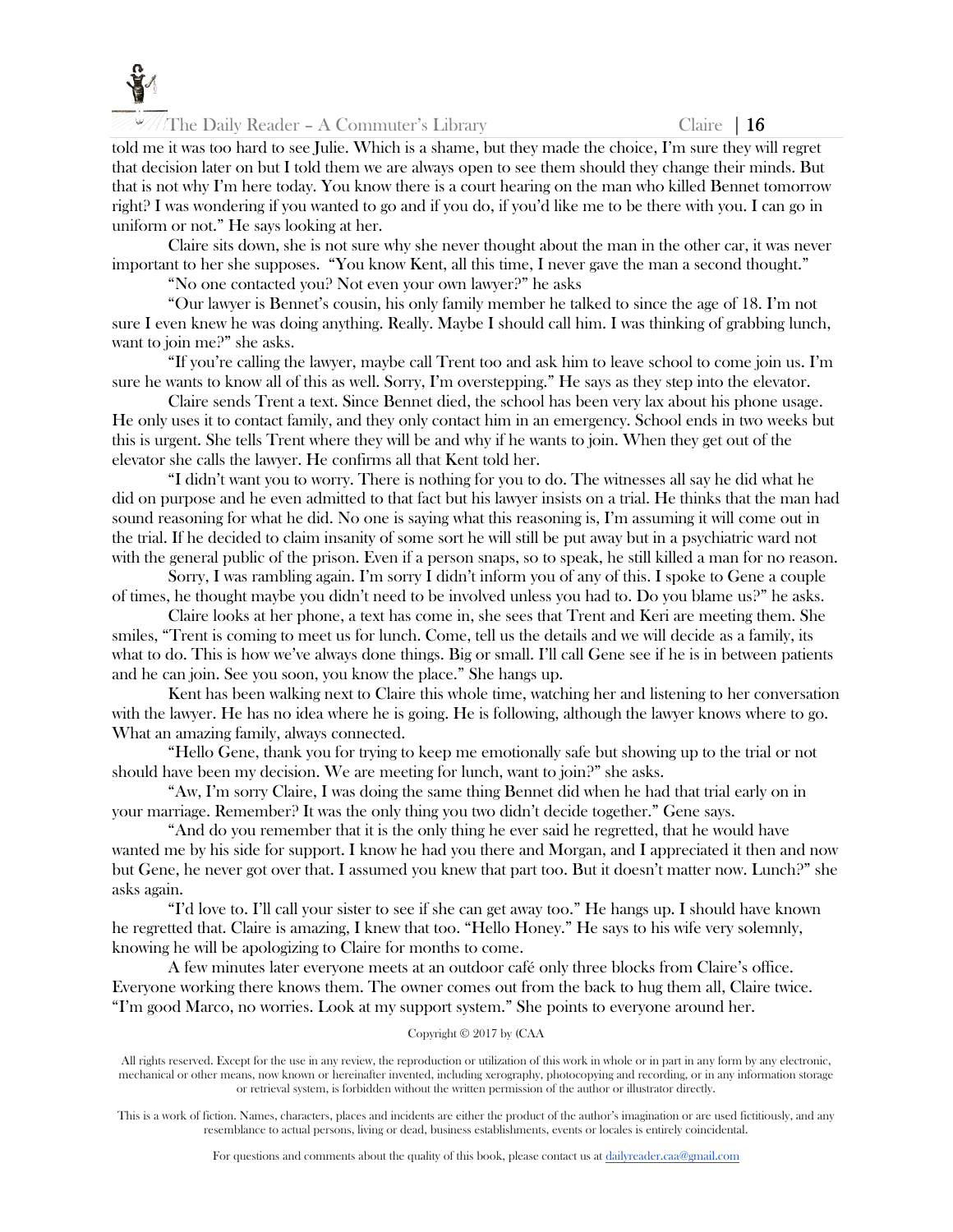

The Daily Reader – A Commuter's Library Claire  $\vert 16 \vert$ 

told me it was too hard to see Julie. Which is a shame, but they made the choice, I'm sure they will regret that decision later on but I told them we are always open to see them should they change their minds. But that is not why I'm here today. You know there is a court hearing on the man who killed Bennet tomorrow right? I was wondering if you wanted to go and if you do, if you'd like me to be there with you. I can go in uniform or not." He says looking at her.

Claire sits down, she is not sure why she never thought about the man in the other car, it was never important to her she supposes. "You know Kent, all this time, I never gave the man a second thought."

"No one contacted you? Not even your own lawyer?" he asks

"Our lawyer is Bennet's cousin, his only family member he talked to since the age of 18. I'm not sure I even knew he was doing anything. Really. Maybe I should call him. I was thinking of grabbing lunch, want to join me?" she asks.

"If you're calling the lawyer, maybe call Trent too and ask him to leave school to come join us. I'm sure he wants to know all of this as well. Sorry, I'm overstepping." He says as they step into the elevator.

Claire sends Trent a text. Since Bennet died, the school has been very lax about his phone usage. He only uses it to contact family, and they only contact him in an emergency. School ends in two weeks but this is urgent. She tells Trent where they will be and why if he wants to join. When they get out of the elevator she calls the lawyer. He confirms all that Kent told her.

"I didn't want you to worry. There is nothing for you to do. The witnesses all say he did what he did on purpose and he even admitted to that fact but his lawyer insists on a trial. He thinks that the man had sound reasoning for what he did. No one is saying what this reasoning is, I'm assuming it will come out in the trial. If he decided to claim insanity of some sort he will still be put away but in a psychiatric ward not with the general public of the prison. Even if a person snaps, so to speak, he still killed a man for no reason.

Sorry, I was rambling again. I'm sorry I didn't inform you of any of this. I spoke to Gene a couple of times, he thought maybe you didn't need to be involved unless you had to. Do you blame us?" he asks.

Claire looks at her phone, a text has come in, she sees that Trent and Keri are meeting them. She smiles, "Trent is coming to meet us for lunch. Come, tell us the details and we will decide as a family, its what to do. This is how we've always done things. Big or small. I'll call Gene see if he is in between patients and he can join. See you soon, you know the place." She hangs up.

Kent has been walking next to Claire this whole time, watching her and listening to her conversation with the lawyer. He has no idea where he is going. He is following, although the lawyer knows where to go. What an amazing family, always connected.

"Hello Gene, thank you for trying to keep me emotionally safe but showing up to the trial or not should have been my decision. We are meeting for lunch, want to join?" she asks.

"Aw, I'm sorry Claire, I was doing the same thing Bennet did when he had that trial early on in your marriage. Remember? It was the only thing you two didn't decide together." Gene says.

"And do you remember that it is the only thing he ever said he regretted, that he would have wanted me by his side for support. I know he had you there and Morgan, and I appreciated it then and now but Gene, he never got over that. I assumed you knew that part too. But it doesn't matter now. Lunch?" she asks again.

"I'd love to. I'll call your sister to see if she can get away too." He hangs up. I should have known he regretted that. Claire is amazing, I knew that too. "Hello Honey." He says to his wife very solemnly, knowing he will be apologizing to Claire for months to come.

A few minutes later everyone meets at an outdoor café only three blocks from Claire's office. Everyone working there knows them. The owner comes out from the back to hug them all, Claire twice. "I'm good Marco, no worries. Look at my support system." She points to everyone around her.

## Copyright © 2017 by (CAA

All rights reserved. Except for the use in any review, the reproduction or utilization of this work in whole or in part in any form by any electronic, mechanical or other means, now known or hereinafter invented, including xerography, photocopying and recording, or in any information storage or retrieval system, is forbidden without the written permission of the author or illustrator directly.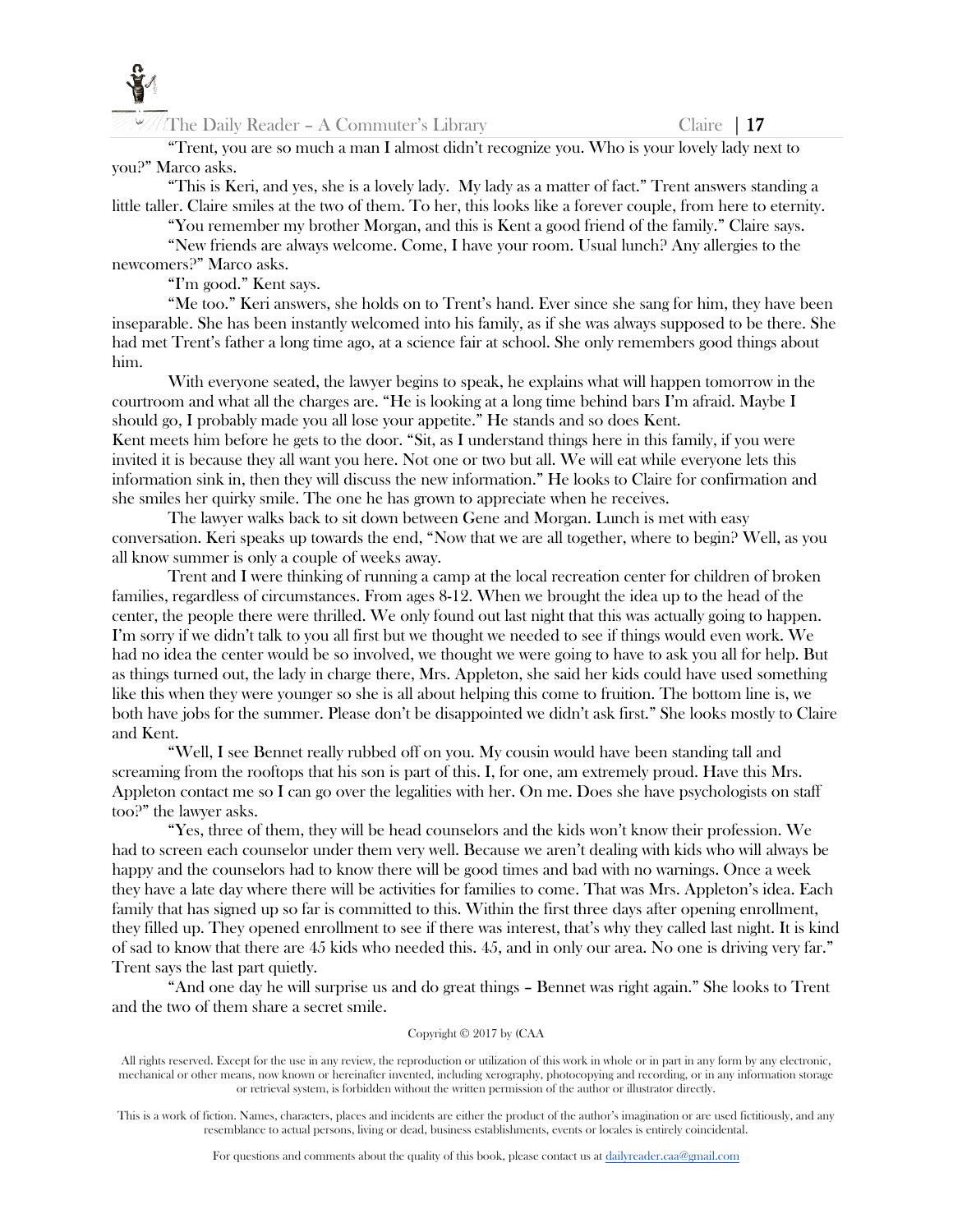

"Trent, you are so much a man I almost didn't recognize you. Who is your lovely lady next to you?" Marco asks.

"This is Keri, and yes, she is a lovely lady. My lady as a matter of fact." Trent answers standing a little taller. Claire smiles at the two of them. To her, this looks like a forever couple, from here to eternity.

"You remember my brother Morgan, and this is Kent a good friend of the family." Claire says.

"New friends are always welcome. Come, I have your room. Usual lunch? Any allergies to the newcomers?" Marco asks.

"I'm good." Kent says.

"Me too." Keri answers, she holds on to Trent's hand. Ever since she sang for him, they have been inseparable. She has been instantly welcomed into his family, as if she was always supposed to be there. She had met Trent's father a long time ago, at a science fair at school. She only remembers good things about him.

With everyone seated, the lawyer begins to speak, he explains what will happen tomorrow in the courtroom and what all the charges are. "He is looking at a long time behind bars I'm afraid. Maybe I should go, I probably made you all lose your appetite." He stands and so does Kent. Kent meets him before he gets to the door. "Sit, as I understand things here in this family, if you were invited it is because they all want you here. Not one or two but all. We will eat while everyone lets this information sink in, then they will discuss the new information." He looks to Claire for confirmation and she smiles her quirky smile. The one he has grown to appreciate when he receives.

The lawyer walks back to sit down between Gene and Morgan. Lunch is met with easy conversation. Keri speaks up towards the end, "Now that we are all together, where to begin? Well, as you all know summer is only a couple of weeks away.

Trent and I were thinking of running a camp at the local recreation center for children of broken families, regardless of circumstances. From ages 8-12. When we brought the idea up to the head of the center, the people there were thrilled. We only found out last night that this was actually going to happen. I'm sorry if we didn't talk to you all first but we thought we needed to see if things would even work. We had no idea the center would be so involved, we thought we were going to have to ask you all for help. But as things turned out, the lady in charge there, Mrs. Appleton, she said her kids could have used something like this when they were younger so she is all about helping this come to fruition. The bottom line is, we both have jobs for the summer. Please don't be disappointed we didn't ask first." She looks mostly to Claire and Kent.

"Well, I see Bennet really rubbed off on you. My cousin would have been standing tall and screaming from the rooftops that his son is part of this. I, for one, am extremely proud. Have this Mrs. Appleton contact me so I can go over the legalities with her. On me. Does she have psychologists on staff too?" the lawyer asks.

"Yes, three of them, they will be head counselors and the kids won't know their profession. We had to screen each counselor under them very well. Because we aren't dealing with kids who will always be happy and the counselors had to know there will be good times and bad with no warnings. Once a week they have a late day where there will be activities for families to come. That was Mrs. Appleton's idea. Each family that has signed up so far is committed to this. Within the first three days after opening enrollment, they filled up. They opened enrollment to see if there was interest, that's why they called last night. It is kind of sad to know that there are 45 kids who needed this. 45, and in only our area. No one is driving very far." Trent says the last part quietly.

"And one day he will surprise us and do great things – Bennet was right again." She looks to Trent and the two of them share a secret smile.

## Copyright © 2017 by (CAA

All rights reserved. Except for the use in any review, the reproduction or utilization of this work in whole or in part in any form by any electronic, mechanical or other means, now known or hereinafter invented, including xerography, photocopying and recording, or in any information storage or retrieval system, is forbidden without the written permission of the author or illustrator directly.

This is a work of fiction. Names, characters, places and incidents are either the product of the author's imagination or are used fictitiously, and any resemblance to actual persons, living or dead, business establishments, events or locales is entirely coincidental.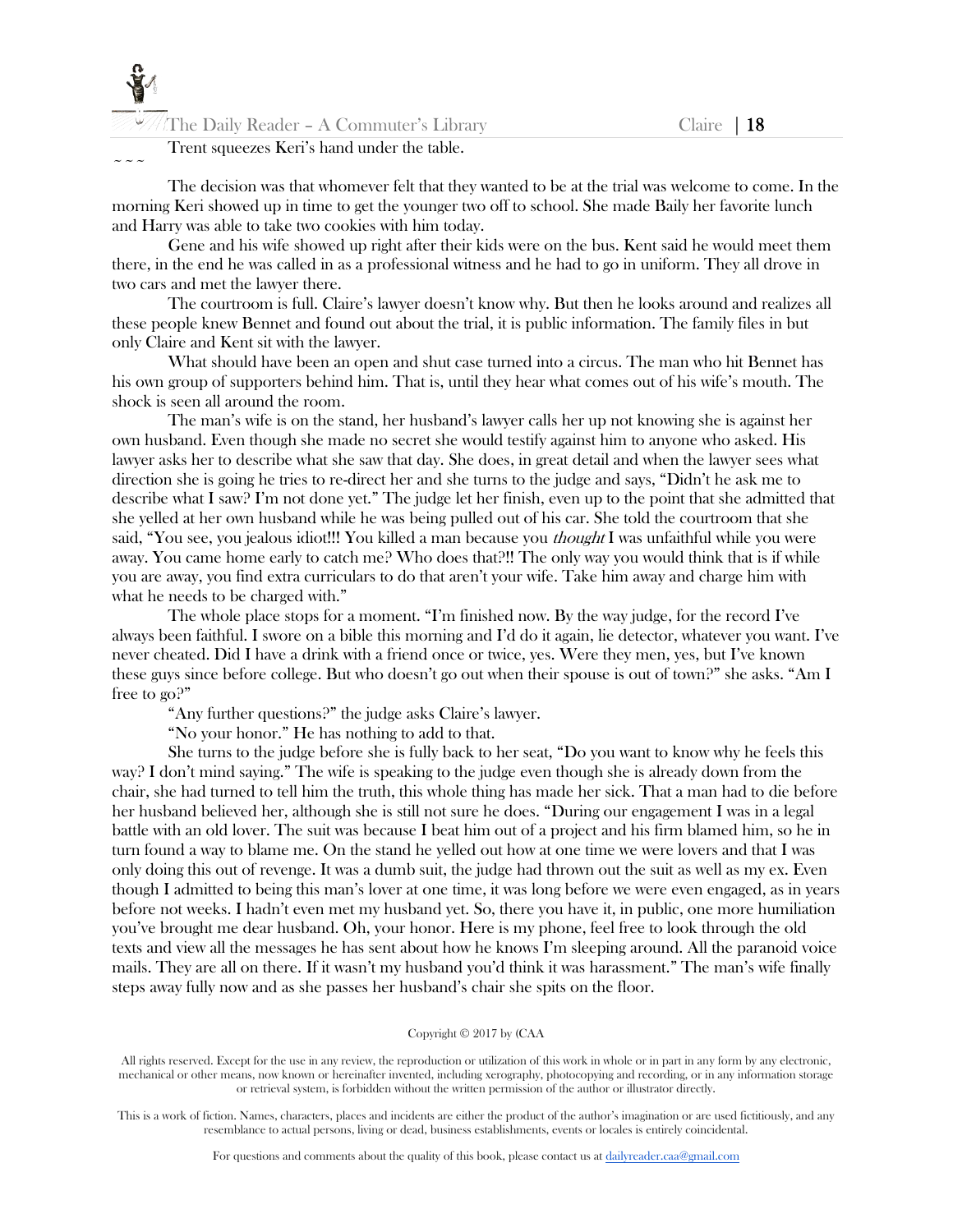

# Trent squeezes Keri's hand under the table.

 $\sim$   $\sim$   $\sim$ 

The decision was that whomever felt that they wanted to be at the trial was welcome to come. In the morning Keri showed up in time to get the younger two off to school. She made Baily her favorite lunch and Harry was able to take two cookies with him today.

Gene and his wife showed up right after their kids were on the bus. Kent said he would meet them there, in the end he was called in as a professional witness and he had to go in uniform. They all drove in two cars and met the lawyer there.

The courtroom is full. Claire's lawyer doesn't know why. But then he looks around and realizes all these people knew Bennet and found out about the trial, it is public information. The family files in but only Claire and Kent sit with the lawyer.

What should have been an open and shut case turned into a circus. The man who hit Bennet has his own group of supporters behind him. That is, until they hear what comes out of his wife's mouth. The shock is seen all around the room.

The man's wife is on the stand, her husband's lawyer calls her up not knowing she is against her own husband. Even though she made no secret she would testify against him to anyone who asked. His lawyer asks her to describe what she saw that day. She does, in great detail and when the lawyer sees what direction she is going he tries to re-direct her and she turns to the judge and says, "Didn't he ask me to describe what I saw? I'm not done yet." The judge let her finish, even up to the point that she admitted that she yelled at her own husband while he was being pulled out of his car. She told the courtroom that she said, "You see, you jealous idiot!!! You killed a man because you *thought* I was unfaithful while you were away. You came home early to catch me? Who does that?!! The only way you would think that is if while you are away, you find extra curriculars to do that aren't your wife. Take him away and charge him with what he needs to be charged with."

The whole place stops for a moment. "I'm finished now. By the way judge, for the record I've always been faithful. I swore on a bible this morning and I'd do it again, lie detector, whatever you want. I've never cheated. Did I have a drink with a friend once or twice, yes. Were they men, yes, but I've known these guys since before college. But who doesn't go out when their spouse is out of town?" she asks. "Am I free to go?"

"Any further questions?" the judge asks Claire's lawyer.

"No your honor." He has nothing to add to that.

She turns to the judge before she is fully back to her seat, "Do you want to know why he feels this way? I don't mind saying." The wife is speaking to the judge even though she is already down from the chair, she had turned to tell him the truth, this whole thing has made her sick. That a man had to die before her husband believed her, although she is still not sure he does. "During our engagement I was in a legal battle with an old lover. The suit was because I beat him out of a project and his firm blamed him, so he in turn found a way to blame me. On the stand he yelled out how at one time we were lovers and that I was only doing this out of revenge. It was a dumb suit, the judge had thrown out the suit as well as my ex. Even though I admitted to being this man's lover at one time, it was long before we were even engaged, as in years before not weeks. I hadn't even met my husband yet. So, there you have it, in public, one more humiliation you've brought me dear husband. Oh, your honor. Here is my phone, feel free to look through the old texts and view all the messages he has sent about how he knows I'm sleeping around. All the paranoid voice mails. They are all on there. If it wasn't my husband you'd think it was harassment." The man's wife finally steps away fully now and as she passes her husband's chair she spits on the floor.

#### Copyright © 2017 by (CAA

All rights reserved. Except for the use in any review, the reproduction or utilization of this work in whole or in part in any form by any electronic, mechanical or other means, now known or hereinafter invented, including xerography, photocopying and recording, or in any information storage or retrieval system, is forbidden without the written permission of the author or illustrator directly.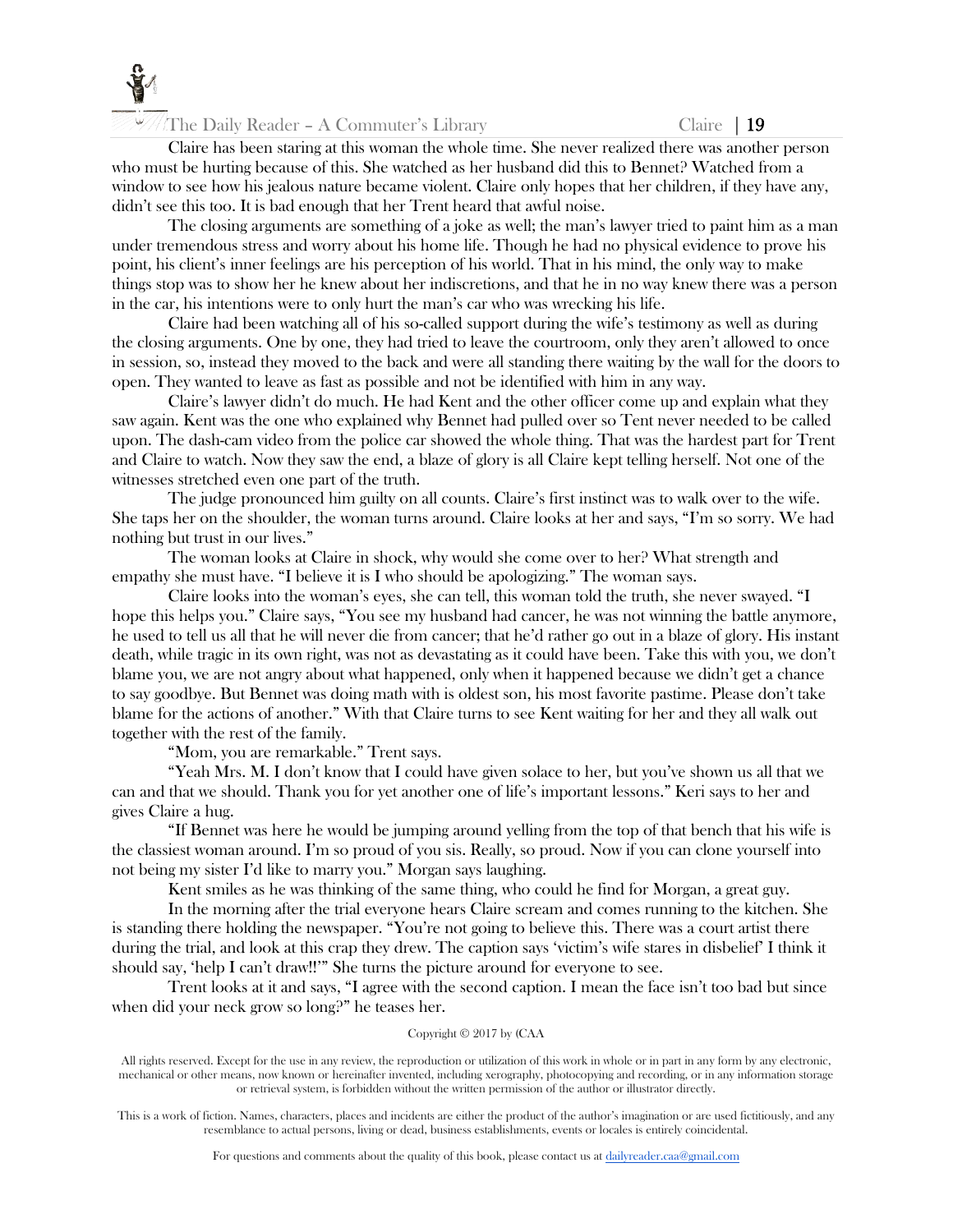

Claire has been staring at this woman the whole time. She never realized there was another person who must be hurting because of this. She watched as her husband did this to Bennet? Watched from a window to see how his jealous nature became violent. Claire only hopes that her children, if they have any, didn't see this too. It is bad enough that her Trent heard that awful noise.

The closing arguments are something of a joke as well; the man's lawyer tried to paint him as a man under tremendous stress and worry about his home life. Though he had no physical evidence to prove his point, his client's inner feelings are his perception of his world. That in his mind, the only way to make things stop was to show her he knew about her indiscretions, and that he in no way knew there was a person in the car, his intentions were to only hurt the man's car who was wrecking his life.

Claire had been watching all of his so-called support during the wife's testimony as well as during the closing arguments. One by one, they had tried to leave the courtroom, only they aren't allowed to once in session, so, instead they moved to the back and were all standing there waiting by the wall for the doors to open. They wanted to leave as fast as possible and not be identified with him in any way.

Claire's lawyer didn't do much. He had Kent and the other officer come up and explain what they saw again. Kent was the one who explained why Bennet had pulled over so Tent never needed to be called upon. The dash-cam video from the police car showed the whole thing. That was the hardest part for Trent and Claire to watch. Now they saw the end, a blaze of glory is all Claire kept telling herself. Not one of the witnesses stretched even one part of the truth.

The judge pronounced him guilty on all counts. Claire's first instinct was to walk over to the wife. She taps her on the shoulder, the woman turns around. Claire looks at her and says, "I'm so sorry. We had nothing but trust in our lives."

The woman looks at Claire in shock, why would she come over to her? What strength and empathy she must have. "I believe it is I who should be apologizing." The woman says.

Claire looks into the woman's eyes, she can tell, this woman told the truth, she never swayed. "I hope this helps you." Claire says, "You see my husband had cancer, he was not winning the battle anymore, he used to tell us all that he will never die from cancer; that he'd rather go out in a blaze of glory. His instant death, while tragic in its own right, was not as devastating as it could have been. Take this with you, we don't blame you, we are not angry about what happened, only when it happened because we didn't get a chance to say goodbye. But Bennet was doing math with is oldest son, his most favorite pastime. Please don't take blame for the actions of another." With that Claire turns to see Kent waiting for her and they all walk out together with the rest of the family.

"Mom, you are remarkable." Trent says.

"Yeah Mrs. M. I don't know that I could have given solace to her, but you've shown us all that we can and that we should. Thank you for yet another one of life's important lessons." Keri says to her and gives Claire a hug.

"If Bennet was here he would be jumping around yelling from the top of that bench that his wife is the classiest woman around. I'm so proud of you sis. Really, so proud. Now if you can clone yourself into not being my sister I'd like to marry you." Morgan says laughing.

Kent smiles as he was thinking of the same thing, who could he find for Morgan, a great guy.

In the morning after the trial everyone hears Claire scream and comes running to the kitchen. She is standing there holding the newspaper. "You're not going to believe this. There was a court artist there during the trial, and look at this crap they drew. The caption says 'victim's wife stares in disbelief' I think it should say, 'help I can't draw!!'" She turns the picture around for everyone to see.

Trent looks at it and says, "I agree with the second caption. I mean the face isn't too bad but since when did your neck grow so long?" he teases her.

## Copyright © 2017 by (CAA

All rights reserved. Except for the use in any review, the reproduction or utilization of this work in whole or in part in any form by any electronic, mechanical or other means, now known or hereinafter invented, including xerography, photocopying and recording, or in any information storage or retrieval system, is forbidden without the written permission of the author or illustrator directly.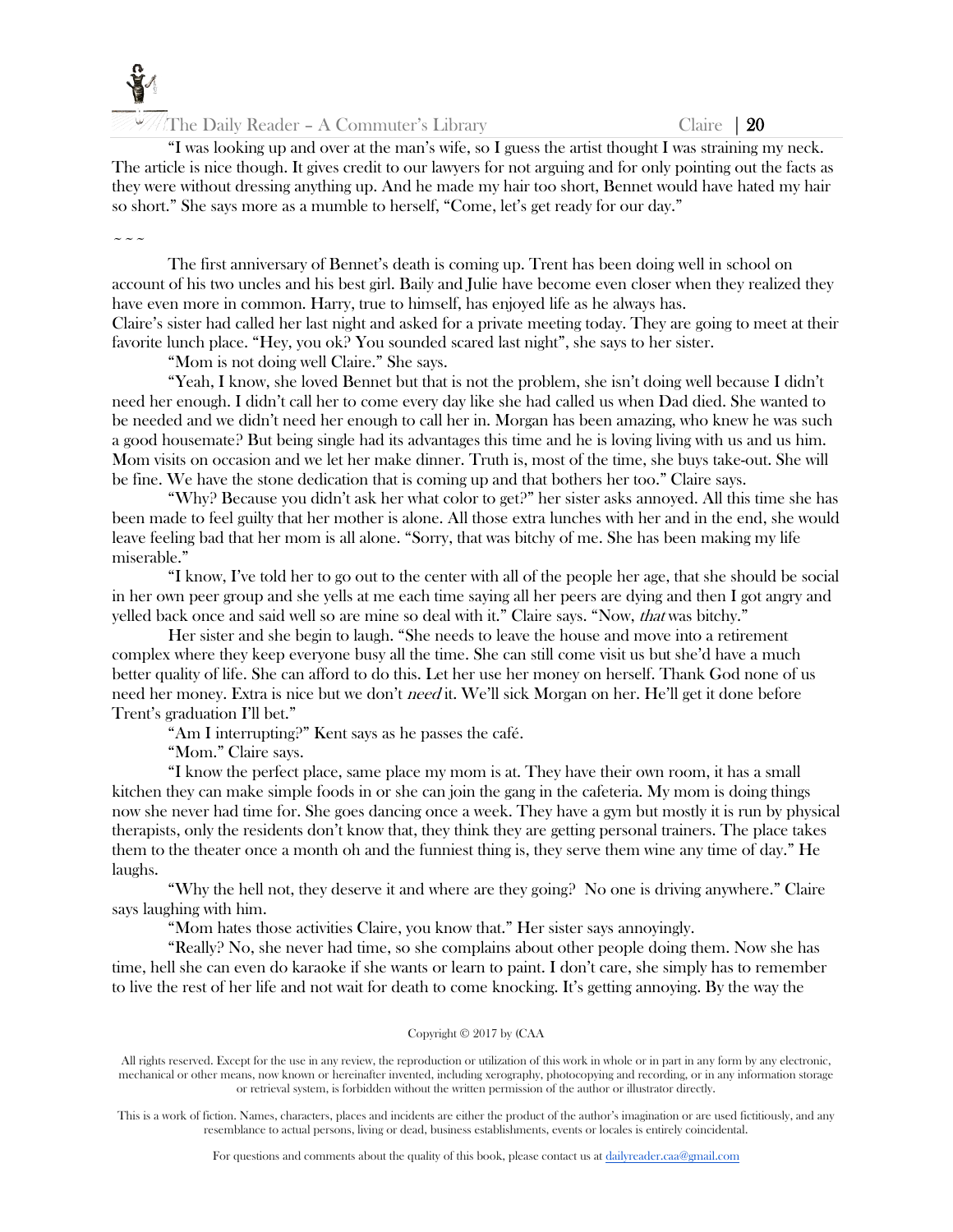The Daily Reader – A Commuter's Library Claire  $\vert 20$ 

"I was looking up and over at the man's wife, so I guess the artist thought I was straining my neck. The article is nice though. It gives credit to our lawyers for not arguing and for only pointing out the facts as they were without dressing anything up. And he made my hair too short, Bennet would have hated my hair so short." She says more as a mumble to herself, "Come, let's get ready for our day."

 $\sim$   $\sim$   $\sim$ 

The first anniversary of Bennet's death is coming up. Trent has been doing well in school on account of his two uncles and his best girl. Baily and Julie have become even closer when they realized they have even more in common. Harry, true to himself, has enjoyed life as he always has. Claire's sister had called her last night and asked for a private meeting today. They are going to meet at their favorite lunch place. "Hey, you ok? You sounded scared last night", she says to her sister.

"Mom is not doing well Claire." She says.

"Yeah, I know, she loved Bennet but that is not the problem, she isn't doing well because I didn't need her enough. I didn't call her to come every day like she had called us when Dad died. She wanted to be needed and we didn't need her enough to call her in. Morgan has been amazing, who knew he was such a good housemate? But being single had its advantages this time and he is loving living with us and us him. Mom visits on occasion and we let her make dinner. Truth is, most of the time, she buys take-out. She will be fine. We have the stone dedication that is coming up and that bothers her too." Claire says.

"Why? Because you didn't ask her what color to get?" her sister asks annoyed. All this time she has been made to feel guilty that her mother is alone. All those extra lunches with her and in the end, she would leave feeling bad that her mom is all alone. "Sorry, that was bitchy of me. She has been making my life miserable."

"I know, I've told her to go out to the center with all of the people her age, that she should be social in her own peer group and she yells at me each time saying all her peers are dying and then I got angry and yelled back once and said well so are mine so deal with it." Claire says. "Now, that was bitchy."

Her sister and she begin to laugh. "She needs to leave the house and move into a retirement complex where they keep everyone busy all the time. She can still come visit us but she'd have a much better quality of life. She can afford to do this. Let her use her money on herself. Thank God none of us need her money. Extra is nice but we don't *need* it. We'll sick Morgan on her. He'll get it done before Trent's graduation I'll bet."

"Am I interrupting?" Kent says as he passes the café.

"Mom." Claire says.

"I know the perfect place, same place my mom is at. They have their own room, it has a small kitchen they can make simple foods in or she can join the gang in the cafeteria. My mom is doing things now she never had time for. She goes dancing once a week. They have a gym but mostly it is run by physical therapists, only the residents don't know that, they think they are getting personal trainers. The place takes them to the theater once a month oh and the funniest thing is, they serve them wine any time of day." He laughs.

"Why the hell not, they deserve it and where are they going? No one is driving anywhere." Claire says laughing with him.

"Mom hates those activities Claire, you know that." Her sister says annoyingly.

"Really? No, she never had time, so she complains about other people doing them. Now she has time, hell she can even do karaoke if she wants or learn to paint. I don't care, she simply has to remember to live the rest of her life and not wait for death to come knocking. It's getting annoying. By the way the

#### Copyright © 2017 by (CAA

All rights reserved. Except for the use in any review, the reproduction or utilization of this work in whole or in part in any form by any electronic, mechanical or other means, now known or hereinafter invented, including xerography, photocopying and recording, or in any information storage or retrieval system, is forbidden without the written permission of the author or illustrator directly.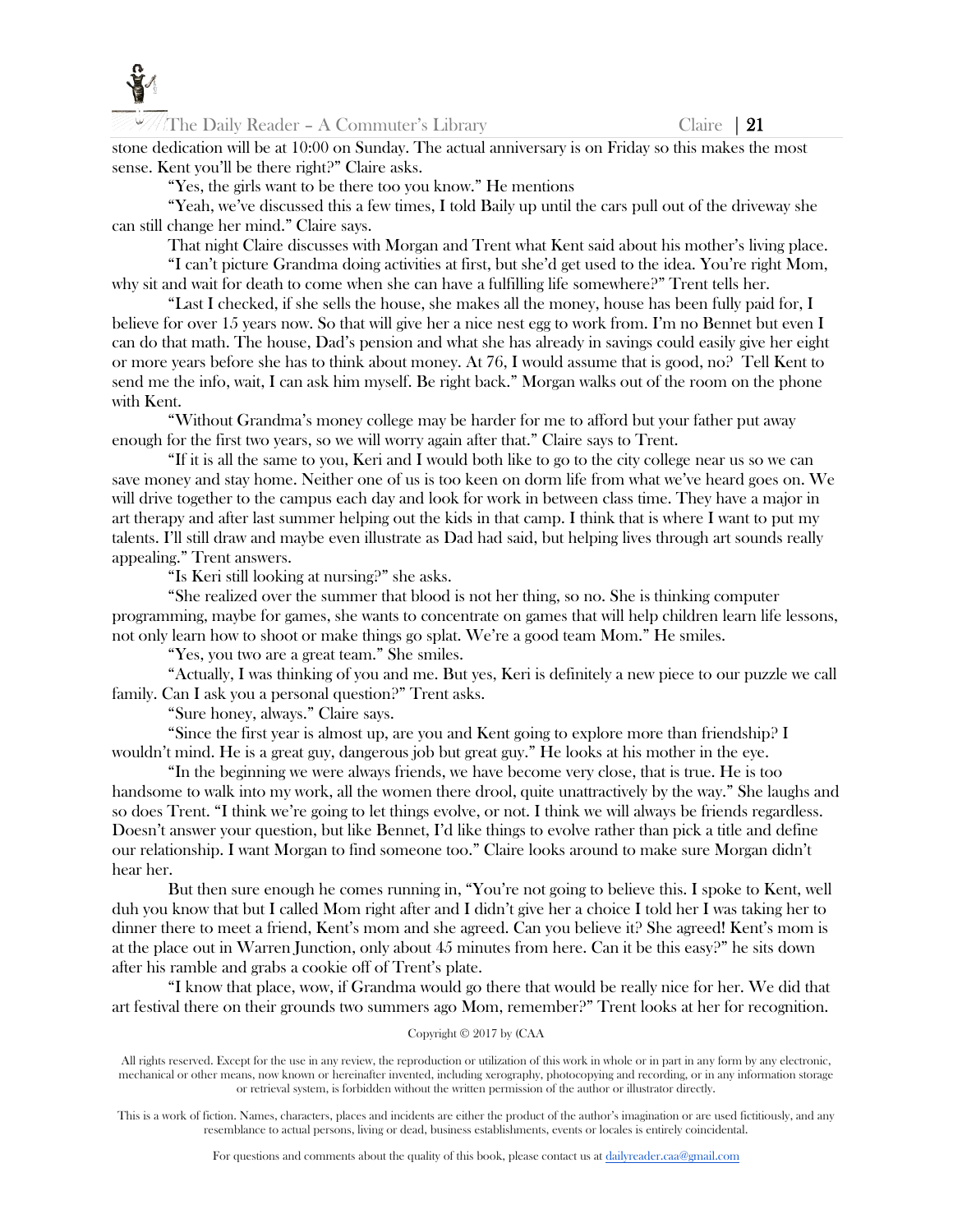

The Daily Reader – A Commuter's Library Claire  $\begin{array}{c} \text{Claire} \\ \text{121} \end{array}$ 

stone dedication will be at 10:00 on Sunday. The actual anniversary is on Friday so this makes the most sense. Kent you'll be there right?" Claire asks.

"Yes, the girls want to be there too you know." He mentions

"Yeah, we've discussed this a few times, I told Baily up until the cars pull out of the driveway she can still change her mind." Claire says.

That night Claire discusses with Morgan and Trent what Kent said about his mother's living place. "I can't picture Grandma doing activities at first, but she'd get used to the idea. You're right Mom,

why sit and wait for death to come when she can have a fulfilling life somewhere?" Trent tells her.

"Last I checked, if she sells the house, she makes all the money, house has been fully paid for, I believe for over 15 years now. So that will give her a nice nest egg to work from. I'm no Bennet but even I can do that math. The house, Dad's pension and what she has already in savings could easily give her eight or more years before she has to think about money. At 76, I would assume that is good, no? Tell Kent to send me the info, wait, I can ask him myself. Be right back." Morgan walks out of the room on the phone with Kent.

"Without Grandma's money college may be harder for me to afford but your father put away enough for the first two years, so we will worry again after that." Claire says to Trent.

"If it is all the same to you, Keri and I would both like to go to the city college near us so we can save money and stay home. Neither one of us is too keen on dorm life from what we've heard goes on. We will drive together to the campus each day and look for work in between class time. They have a major in art therapy and after last summer helping out the kids in that camp. I think that is where I want to put my talents. I'll still draw and maybe even illustrate as Dad had said, but helping lives through art sounds really appealing." Trent answers.

"Is Keri still looking at nursing?" she asks.

"She realized over the summer that blood is not her thing, so no. She is thinking computer programming, maybe for games, she wants to concentrate on games that will help children learn life lessons, not only learn how to shoot or make things go splat. We're a good team Mom." He smiles.

"Yes, you two are a great team." She smiles.

"Actually, I was thinking of you and me. But yes, Keri is definitely a new piece to our puzzle we call family. Can I ask you a personal question?" Trent asks.

"Sure honey, always." Claire says.

"Since the first year is almost up, are you and Kent going to explore more than friendship? I wouldn't mind. He is a great guy, dangerous job but great guy." He looks at his mother in the eye.

"In the beginning we were always friends, we have become very close, that is true. He is too handsome to walk into my work, all the women there drool, quite unattractively by the way." She laughs and so does Trent. "I think we're going to let things evolve, or not. I think we will always be friends regardless. Doesn't answer your question, but like Bennet, I'd like things to evolve rather than pick a title and define our relationship. I want Morgan to find someone too." Claire looks around to make sure Morgan didn't hear her.

But then sure enough he comes running in, "You're not going to believe this. I spoke to Kent, well duh you know that but I called Mom right after and I didn't give her a choice I told her I was taking her to dinner there to meet a friend, Kent's mom and she agreed. Can you believe it? She agreed! Kent's mom is at the place out in Warren Junction, only about 45 minutes from here. Can it be this easy?" he sits down after his ramble and grabs a cookie off of Trent's plate.

"I know that place, wow, if Grandma would go there that would be really nice for her. We did that art festival there on their grounds two summers ago Mom, remember?" Trent looks at her for recognition.

# Copyright © 2017 by (CAA

All rights reserved. Except for the use in any review, the reproduction or utilization of this work in whole or in part in any form by any electronic, mechanical or other means, now known or hereinafter invented, including xerography, photocopying and recording, or in any information storage or retrieval system, is forbidden without the written permission of the author or illustrator directly.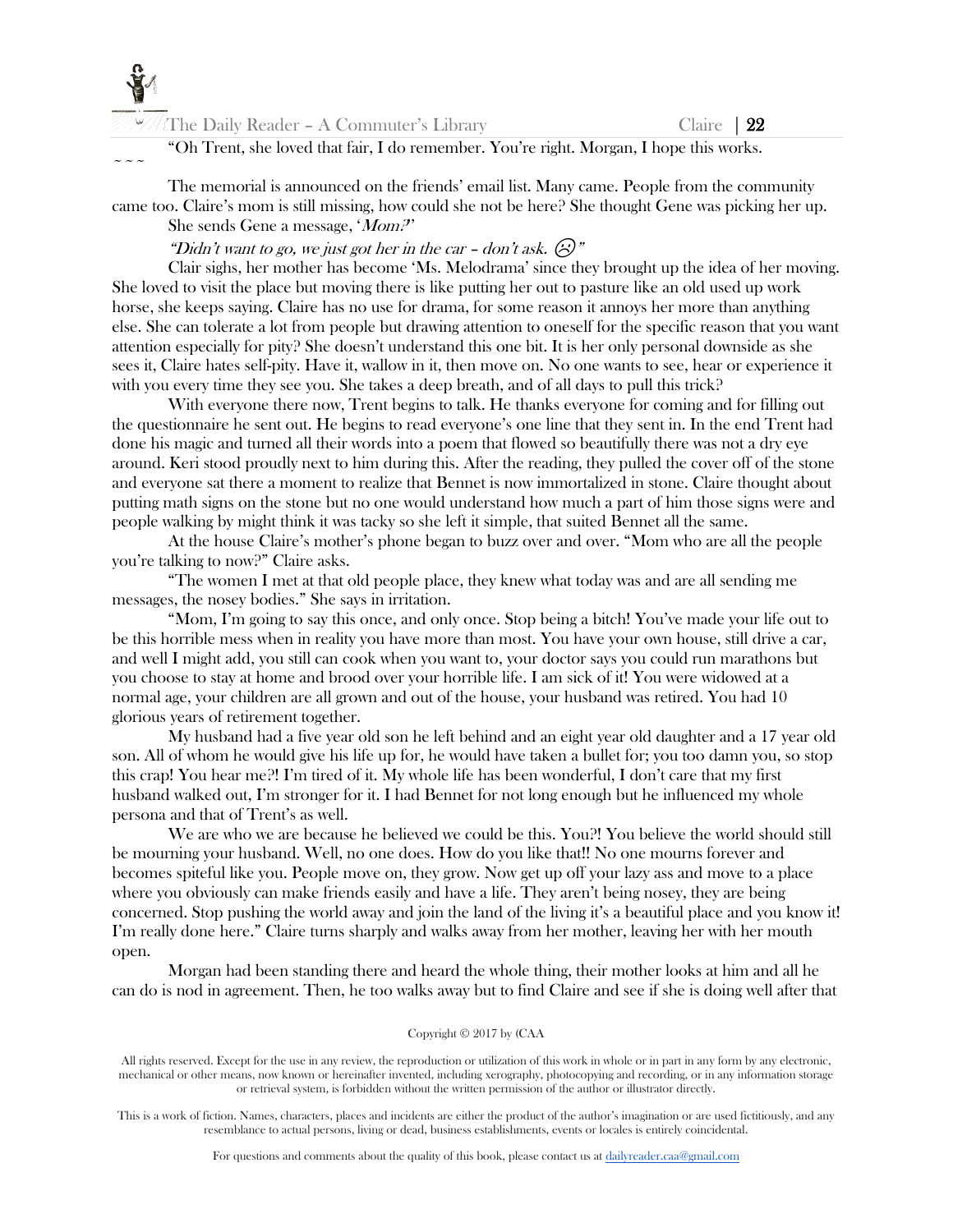

 $\sim$   $\sim$   $\sim$ 

| <i><b>XX///The Daily Reader - A Commuter's Library</b></i> |
|------------------------------------------------------------|
|------------------------------------------------------------|

Claire  $\vert$  22

"Oh Trent, she loved that fair, I do remember. You're right. Morgan, I hope this works.

The memorial is announced on the friends' email list. Many came. People from the community came too. Claire's mom is still missing, how could she not be here? She thought Gene was picking her up. She sends Gene a message, 'Mom?''

"Didn't want to go, we just got her in the car - don't ask.  $\odot$ "

Clair sighs, her mother has become 'Ms. Melodrama' since they brought up the idea of her moving. She loved to visit the place but moving there is like putting her out to pasture like an old used up work horse, she keeps saying. Claire has no use for drama, for some reason it annoys her more than anything else. She can tolerate a lot from people but drawing attention to oneself for the specific reason that you want attention especially for pity? She doesn't understand this one bit. It is her only personal downside as she sees it, Claire hates self-pity. Have it, wallow in it, then move on. No one wants to see, hear or experience it with you every time they see you. She takes a deep breath, and of all days to pull this trick?

With everyone there now, Trent begins to talk. He thanks everyone for coming and for filling out the questionnaire he sent out. He begins to read everyone's one line that they sent in. In the end Trent had done his magic and turned all their words into a poem that flowed so beautifully there was not a dry eye around. Keri stood proudly next to him during this. After the reading, they pulled the cover off of the stone and everyone sat there a moment to realize that Bennet is now immortalized in stone. Claire thought about putting math signs on the stone but no one would understand how much a part of him those signs were and people walking by might think it was tacky so she left it simple, that suited Bennet all the same.

At the house Claire's mother's phone began to buzz over and over. "Mom who are all the people you're talking to now?" Claire asks.

"The women I met at that old people place, they knew what today was and are all sending me messages, the nosey bodies." She says in irritation.

"Mom, I'm going to say this once, and only once. Stop being a bitch! You've made your life out to be this horrible mess when in reality you have more than most. You have your own house, still drive a car, and well I might add, you still can cook when you want to, your doctor says you could run marathons but you choose to stay at home and brood over your horrible life. I am sick of it! You were widowed at a normal age, your children are all grown and out of the house, your husband was retired. You had 10 glorious years of retirement together.

My husband had a five year old son he left behind and an eight year old daughter and a 17 year old son. All of whom he would give his life up for, he would have taken a bullet for; you too damn you, so stop this crap! You hear me?! I'm tired of it. My whole life has been wonderful, I don't care that my first husband walked out, I'm stronger for it. I had Bennet for not long enough but he influenced my whole persona and that of Trent's as well.

We are who we are because he believed we could be this. You?! You believe the world should still be mourning your husband. Well, no one does. How do you like that!! No one mourns forever and becomes spiteful like you. People move on, they grow. Now get up off your lazy ass and move to a place where you obviously can make friends easily and have a life. They aren't being nosey, they are being concerned. Stop pushing the world away and join the land of the living it's a beautiful place and you know it! I'm really done here." Claire turns sharply and walks away from her mother, leaving her with her mouth open.

Morgan had been standing there and heard the whole thing, their mother looks at him and all he can do is nod in agreement. Then, he too walks away but to find Claire and see if she is doing well after that

#### Copyright © 2017 by (CAA

All rights reserved. Except for the use in any review, the reproduction or utilization of this work in whole or in part in any form by any electronic, mechanical or other means, now known or hereinafter invented, including xerography, photocopying and recording, or in any information storage or retrieval system, is forbidden without the written permission of the author or illustrator directly.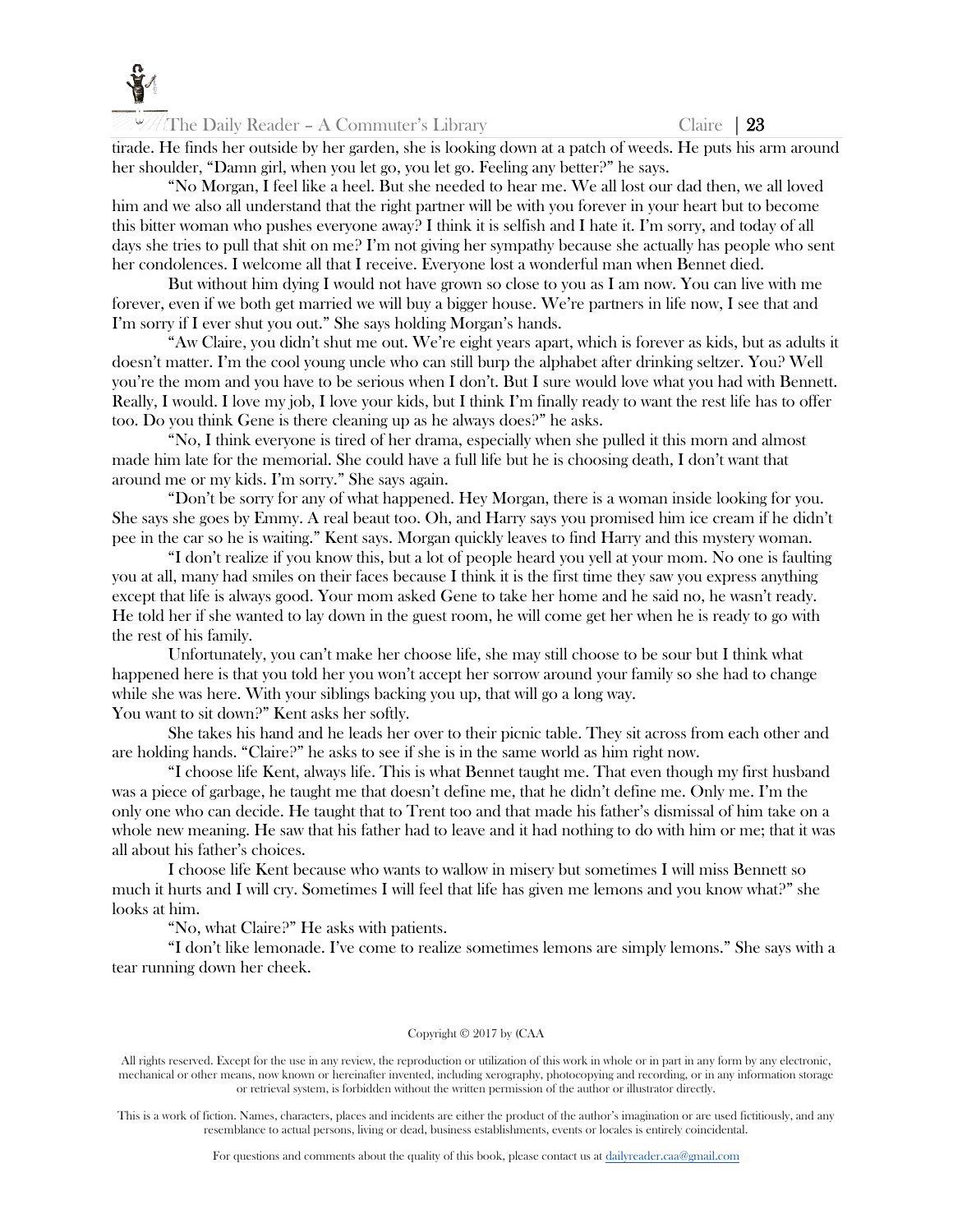

tirade. He finds her outside by her garden, she is looking down at a patch of weeds. He puts his arm around her shoulder, "Damn girl, when you let go, you let go. Feeling any better?" he says.

"No Morgan, I feel like a heel. But she needed to hear me. We all lost our dad then, we all loved him and we also all understand that the right partner will be with you forever in your heart but to become this bitter woman who pushes everyone away? I think it is selfish and I hate it. I'm sorry, and today of all days she tries to pull that shit on me? I'm not giving her sympathy because she actually has people who sent her condolences. I welcome all that I receive. Everyone lost a wonderful man when Bennet died.

But without him dying I would not have grown so close to you as I am now. You can live with me forever, even if we both get married we will buy a bigger house. We're partners in life now, I see that and I'm sorry if I ever shut you out." She says holding Morgan's hands.

"Aw Claire, you didn't shut me out. We're eight years apart, which is forever as kids, but as adults it doesn't matter. I'm the cool young uncle who can still burp the alphabet after drinking seltzer. You? Well you're the mom and you have to be serious when I don't. But I sure would love what you had with Bennett. Really, I would. I love my job, I love your kids, but I think I'm finally ready to want the rest life has to offer too. Do you think Gene is there cleaning up as he always does?" he asks.

"No, I think everyone is tired of her drama, especially when she pulled it this morn and almost made him late for the memorial. She could have a full life but he is choosing death, I don't want that around me or my kids. I'm sorry." She says again.

"Don't be sorry for any of what happened. Hey Morgan, there is a woman inside looking for you. She says she goes by Emmy. A real beaut too. Oh, and Harry says you promised him ice cream if he didn't pee in the car so he is waiting." Kent says. Morgan quickly leaves to find Harry and this mystery woman.

"I don't realize if you know this, but a lot of people heard you yell at your mom. No one is faulting you at all, many had smiles on their faces because I think it is the first time they saw you express anything except that life is always good. Your mom asked Gene to take her home and he said no, he wasn't ready. He told her if she wanted to lay down in the guest room, he will come get her when he is ready to go with the rest of his family.

Unfortunately, you can't make her choose life, she may still choose to be sour but I think what happened here is that you told her you won't accept her sorrow around your family so she had to change while she was here. With your siblings backing you up, that will go a long way. You want to sit down?" Kent asks her softly.

She takes his hand and he leads her over to their picnic table. They sit across from each other and are holding hands. "Claire?" he asks to see if she is in the same world as him right now.

"I choose life Kent, always life. This is what Bennet taught me. That even though my first husband was a piece of garbage, he taught me that doesn't define me, that he didn't define me. Only me. I'm the only one who can decide. He taught that to Trent too and that made his father's dismissal of him take on a whole new meaning. He saw that his father had to leave and it had nothing to do with him or me; that it was all about his father's choices.

I choose life Kent because who wants to wallow in misery but sometimes I will miss Bennett so much it hurts and I will cry. Sometimes I will feel that life has given me lemons and you know what?" she looks at him.

"No, what Claire?" He asks with patients.

"I don't like lemonade. I've come to realize sometimes lemons are simply lemons." She says with a tear running down her cheek.

#### Copyright © 2017 by (CAA

All rights reserved. Except for the use in any review, the reproduction or utilization of this work in whole or in part in any form by any electronic, mechanical or other means, now known or hereinafter invented, including xerography, photocopying and recording, or in any information storage or retrieval system, is forbidden without the written permission of the author or illustrator directly.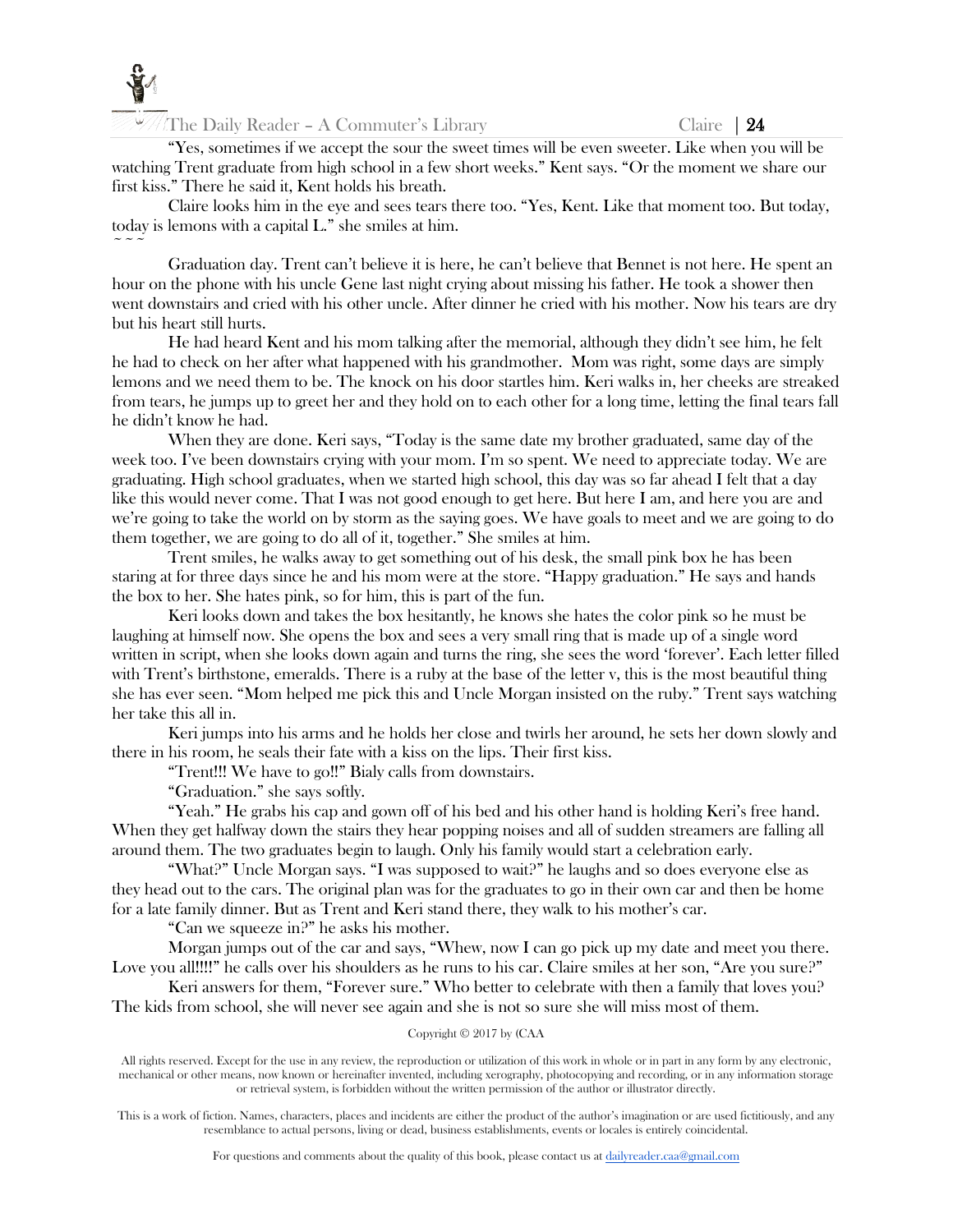

The Daily Reader – A Commuter's Library Claire |  $24$ 

"Yes, sometimes if we accept the sour the sweet times will be even sweeter. Like when you will be watching Trent graduate from high school in a few short weeks." Kent says. "Or the moment we share our first kiss." There he said it, Kent holds his breath.

Claire looks him in the eye and sees tears there too. "Yes, Kent. Like that moment too. But today, today is lemons with a capital L." she smiles at him.  $\sim$   $\sim$   $\sim$ 

Graduation day. Trent can't believe it is here, he can't believe that Bennet is not here. He spent an hour on the phone with his uncle Gene last night crying about missing his father. He took a shower then went downstairs and cried with his other uncle. After dinner he cried with his mother. Now his tears are dry but his heart still hurts.

He had heard Kent and his mom talking after the memorial, although they didn't see him, he felt he had to check on her after what happened with his grandmother. Mom was right, some days are simply lemons and we need them to be. The knock on his door startles him. Keri walks in, her cheeks are streaked from tears, he jumps up to greet her and they hold on to each other for a long time, letting the final tears fall he didn't know he had.

When they are done. Keri says, "Today is the same date my brother graduated, same day of the week too. I've been downstairs crying with your mom. I'm so spent. We need to appreciate today. We are graduating. High school graduates, when we started high school, this day was so far ahead I felt that a day like this would never come. That I was not good enough to get here. But here I am, and here you are and we're going to take the world on by storm as the saying goes. We have goals to meet and we are going to do them together, we are going to do all of it, together." She smiles at him.

Trent smiles, he walks away to get something out of his desk, the small pink box he has been staring at for three days since he and his mom were at the store. "Happy graduation." He says and hands the box to her. She hates pink, so for him, this is part of the fun.

Keri looks down and takes the box hesitantly, he knows she hates the color pink so he must be laughing at himself now. She opens the box and sees a very small ring that is made up of a single word written in script, when she looks down again and turns the ring, she sees the word 'forever'. Each letter filled with Trent's birthstone, emeralds. There is a ruby at the base of the letter v, this is the most beautiful thing she has ever seen. "Mom helped me pick this and Uncle Morgan insisted on the ruby." Trent says watching her take this all in.

Keri jumps into his arms and he holds her close and twirls her around, he sets her down slowly and there in his room, he seals their fate with a kiss on the lips. Their first kiss.

"Trent!!! We have to go!!" Bialy calls from downstairs.

"Graduation." she says softly.

"Yeah." He grabs his cap and gown off of his bed and his other hand is holding Keri's free hand. When they get halfway down the stairs they hear popping noises and all of sudden streamers are falling all around them. The two graduates begin to laugh. Only his family would start a celebration early.

"What?" Uncle Morgan says. "I was supposed to wait?" he laughs and so does everyone else as they head out to the cars. The original plan was for the graduates to go in their own car and then be home for a late family dinner. But as Trent and Keri stand there, they walk to his mother's car.

"Can we squeeze in?" he asks his mother.

Morgan jumps out of the car and says, "Whew, now I can go pick up my date and meet you there. Love you all!!!!" he calls over his shoulders as he runs to his car. Claire smiles at her son, "Are you sure?"

Keri answers for them, "Forever sure." Who better to celebrate with then a family that loves you? The kids from school, she will never see again and she is not so sure she will miss most of them.

#### Copyright © 2017 by (CAA

All rights reserved. Except for the use in any review, the reproduction or utilization of this work in whole or in part in any form by any electronic, mechanical or other means, now known or hereinafter invented, including xerography, photocopying and recording, or in any information storage or retrieval system, is forbidden without the written permission of the author or illustrator directly.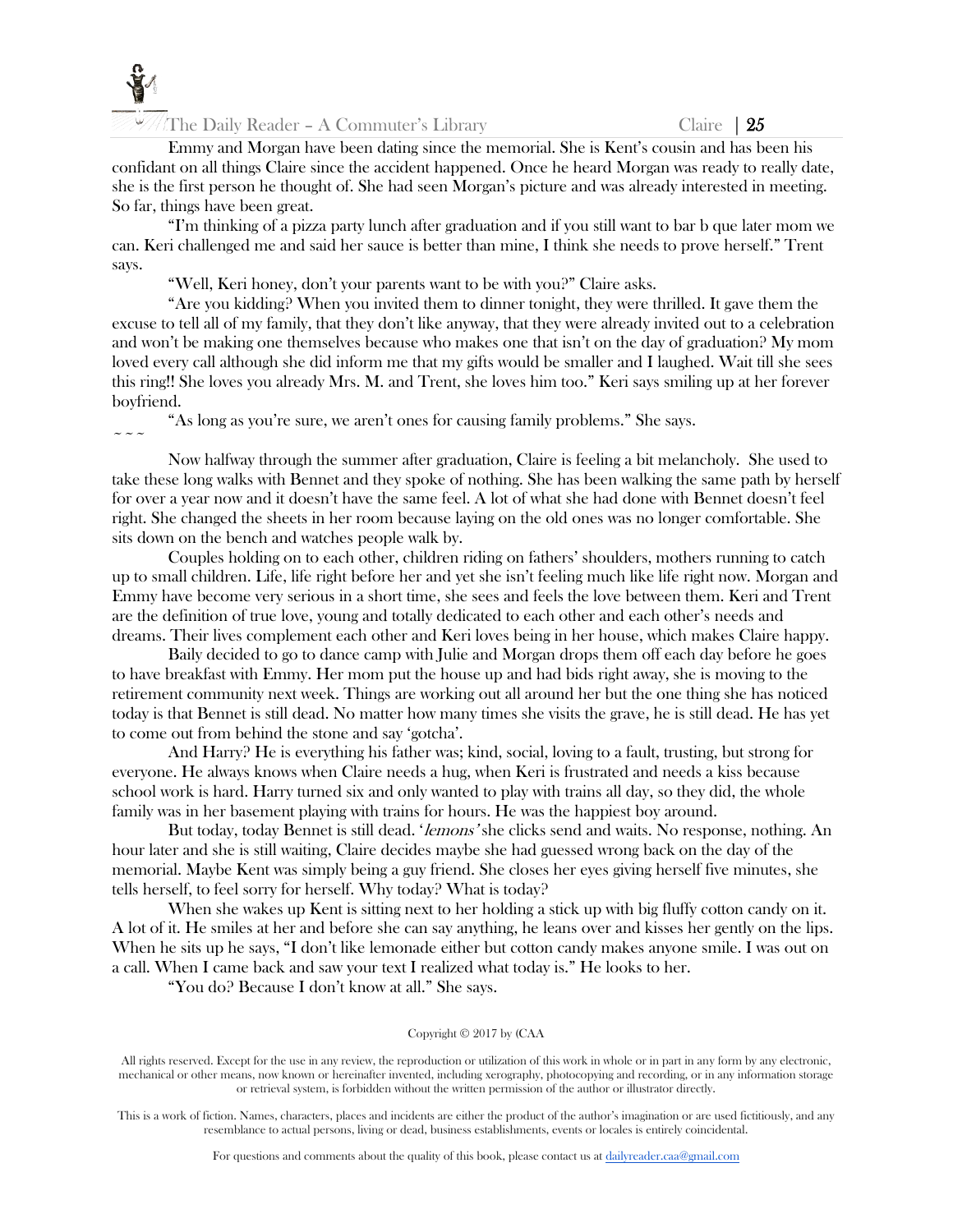

 $\sim$   $\sim$   $\sim$ 

The Daily Reader – A Commuter's Library Claire |  $25$ 

Emmy and Morgan have been dating since the memorial. She is Kent's cousin and has been his confidant on all things Claire since the accident happened. Once he heard Morgan was ready to really date, she is the first person he thought of. She had seen Morgan's picture and was already interested in meeting. So far, things have been great.

"I'm thinking of a pizza party lunch after graduation and if you still want to bar b que later mom we can. Keri challenged me and said her sauce is better than mine, I think she needs to prove herself." Trent says.

"Well, Keri honey, don't your parents want to be with you?" Claire asks.

"Are you kidding? When you invited them to dinner tonight, they were thrilled. It gave them the excuse to tell all of my family, that they don't like anyway, that they were already invited out to a celebration and won't be making one themselves because who makes one that isn't on the day of graduation? My mom loved every call although she did inform me that my gifts would be smaller and I laughed. Wait till she sees this ring!! She loves you already Mrs. M. and Trent, she loves him too." Keri says smiling up at her forever boyfriend.

"As long as you're sure, we aren't ones for causing family problems." She says.

Now halfway through the summer after graduation, Claire is feeling a bit melancholy. She used to take these long walks with Bennet and they spoke of nothing. She has been walking the same path by herself for over a year now and it doesn't have the same feel. A lot of what she had done with Bennet doesn't feel right. She changed the sheets in her room because laying on the old ones was no longer comfortable. She sits down on the bench and watches people walk by.

Couples holding on to each other, children riding on fathers' shoulders, mothers running to catch up to small children. Life, life right before her and yet she isn't feeling much like life right now. Morgan and Emmy have become very serious in a short time, she sees and feels the love between them. Keri and Trent are the definition of true love, young and totally dedicated to each other and each other's needs and dreams. Their lives complement each other and Keri loves being in her house, which makes Claire happy.

Baily decided to go to dance camp with Julie and Morgan drops them off each day before he goes to have breakfast with Emmy. Her mom put the house up and had bids right away, she is moving to the retirement community next week. Things are working out all around her but the one thing she has noticed today is that Bennet is still dead. No matter how many times she visits the grave, he is still dead. He has yet to come out from behind the stone and say 'gotcha'.

And Harry? He is everything his father was; kind, social, loving to a fault, trusting, but strong for everyone. He always knows when Claire needs a hug, when Keri is frustrated and needs a kiss because school work is hard. Harry turned six and only wanted to play with trains all day, so they did, the whole family was in her basement playing with trains for hours. He was the happiest boy around.

But today, today Bennet is still dead. '*lemons*' she clicks send and waits. No response, nothing. An hour later and she is still waiting, Claire decides maybe she had guessed wrong back on the day of the memorial. Maybe Kent was simply being a guy friend. She closes her eyes giving herself five minutes, she tells herself, to feel sorry for herself. Why today? What is today?

When she wakes up Kent is sitting next to her holding a stick up with big fluffy cotton candy on it. A lot of it. He smiles at her and before she can say anything, he leans over and kisses her gently on the lips. When he sits up he says, "I don't like lemonade either but cotton candy makes anyone smile. I was out on a call. When I came back and saw your text I realized what today is." He looks to her.

"You do? Because I don't know at all." She says.

## Copyright © 2017 by (CAA

All rights reserved. Except for the use in any review, the reproduction or utilization of this work in whole or in part in any form by any electronic, mechanical or other means, now known or hereinafter invented, including xerography, photocopying and recording, or in any information storage or retrieval system, is forbidden without the written permission of the author or illustrator directly.